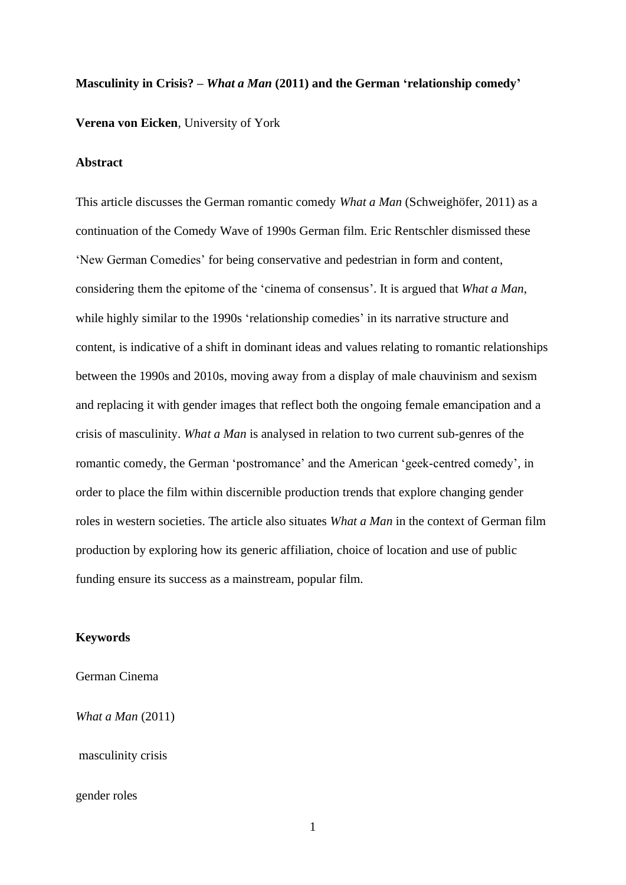# **Masculinity in Crisis? –** *What a Man* **(2011) and the German 'relationship comedy' Verena von Eicken**, University of York

### **Abstract**

This article discusses the German romantic comedy *What a Man* (Schweighöfer, 2011) as a continuation of the Comedy Wave of 1990s German film. Eric Rentschler dismissed these 'New German Comedies' for being conservative and pedestrian in form and content, considering them the epitome of the 'cinema of consensus'. It is argued that *What a Man*, while highly similar to the 1990s 'relationship comedies' in its narrative structure and content, is indicative of a shift in dominant ideas and values relating to romantic relationships between the 1990s and 2010s, moving away from a display of male chauvinism and sexism and replacing it with gender images that reflect both the ongoing female emancipation and a crisis of masculinity. *What a Man* is analysed in relation to two current sub-genres of the romantic comedy, the German 'postromance' and the American 'geek-centred comedy', in order to place the film within discernible production trends that explore changing gender roles in western societies. The article also situates *What a Man* in the context of German film production by exploring how its generic affiliation, choice of location and use of public funding ensure its success as a mainstream, popular film.

### **Keywords**

German Cinema

*What a Man* (2011)

masculinity crisis

### gender roles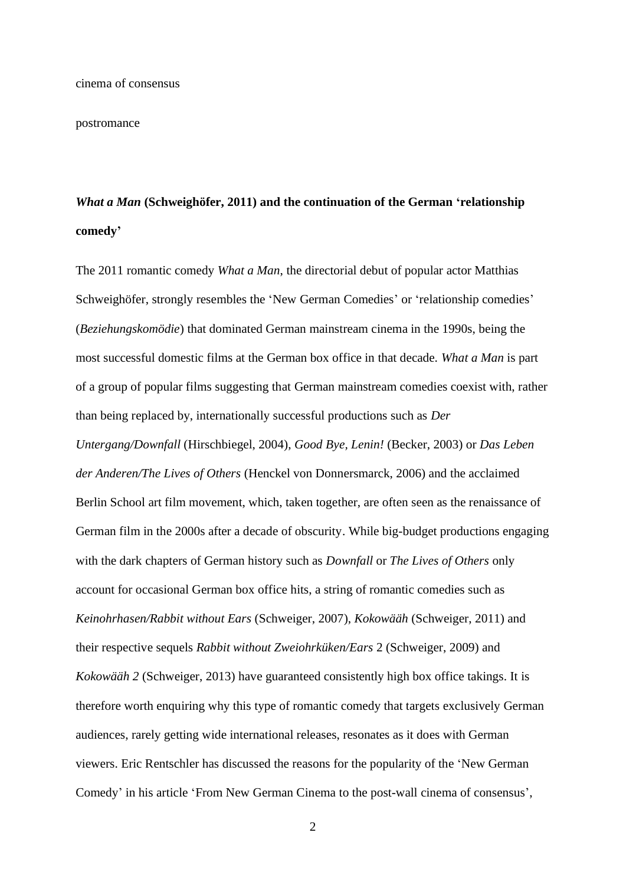#### cinema of consensus

#### postromance

## *What a Man* **(Schweighöfer, 2011) and the continuation of the German 'relationship comedy'**

The 2011 romantic comedy *What a Man*, the directorial debut of popular actor Matthias Schweighöfer, strongly resembles the 'New German Comedies' or 'relationship comedies' (*Beziehungskomödie*) that dominated German mainstream cinema in the 1990s, being the most successful domestic films at the German box office in that decade. *What a Man* is part of a group of popular films suggesting that German mainstream comedies coexist with, rather than being replaced by, internationally successful productions such as *Der Untergang/Downfall* (Hirschbiegel, 2004), *Good Bye, Lenin!* (Becker, 2003) or *Das Leben der Anderen/The Lives of Others* (Henckel von Donnersmarck, 2006) and the acclaimed Berlin School art film movement, which, taken together, are often seen as the renaissance of German film in the 2000s after a decade of obscurity. While big-budget productions engaging with the dark chapters of German history such as *Downfall* or *The Lives of Others* only account for occasional German box office hits, a string of romantic comedies such as *Keinohrhasen/Rabbit without Ears* (Schweiger, 2007), *Kokowääh* (Schweiger, 2011) and their respective sequels *Rabbit without Zweiohrküken/Ears* 2 (Schweiger, 2009) and *Kokowääh 2* (Schweiger, 2013) have guaranteed consistently high box office takings. It is therefore worth enquiring why this type of romantic comedy that targets exclusively German audiences, rarely getting wide international releases, resonates as it does with German viewers. Eric Rentschler has discussed the reasons for the popularity of the 'New German Comedy' in his article 'From New German Cinema to the post-wall cinema of consensus',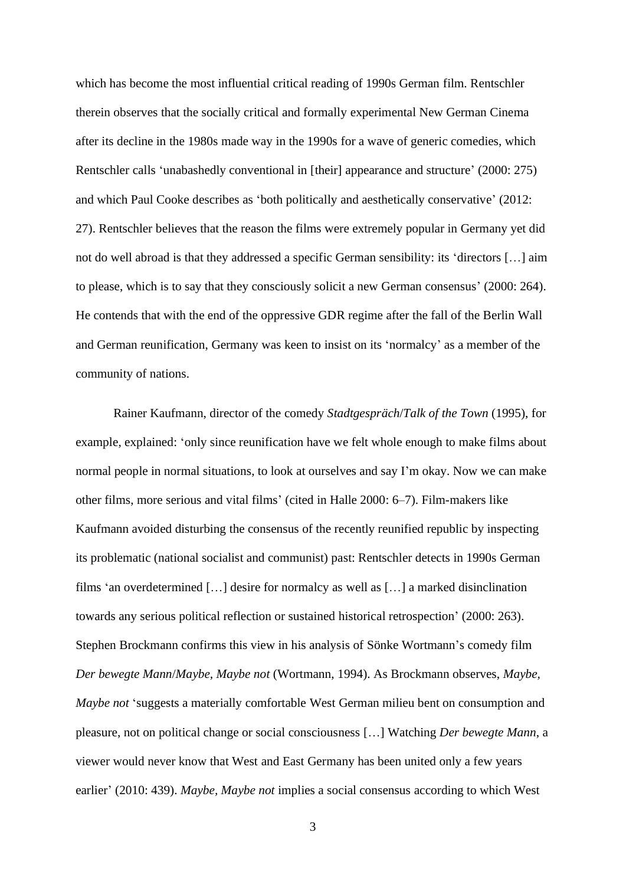which has become the most influential critical reading of 1990s German film. Rentschler therein observes that the socially critical and formally experimental New German Cinema after its decline in the 1980s made way in the 1990s for a wave of generic comedies, which Rentschler calls 'unabashedly conventional in [their] appearance and structure' (2000: 275) and which Paul Cooke describes as 'both politically and aesthetically conservative' (2012: 27). Rentschler believes that the reason the films were extremely popular in Germany yet did not do well abroad is that they addressed a specific German sensibility: its 'directors […] aim to please, which is to say that they consciously solicit a new German consensus' (2000: 264). He contends that with the end of the oppressive GDR regime after the fall of the Berlin Wall and German reunification, Germany was keen to insist on its 'normalcy' as a member of the community of nations.

Rainer Kaufmann, director of the comedy *Stadtgespräch*/*Talk of the Town* (1995), for example, explained: 'only since reunification have we felt whole enough to make films about normal people in normal situations, to look at ourselves and say I'm okay. Now we can make other films, more serious and vital films' (cited in Halle 2000: 6–7). Film-makers like Kaufmann avoided disturbing the consensus of the recently reunified republic by inspecting its problematic (national socialist and communist) past: Rentschler detects in 1990s German films 'an overdetermined […] desire for normalcy as well as […] a marked disinclination towards any serious political reflection or sustained historical retrospection' (2000: 263). Stephen Brockmann confirms this view in his analysis of Sönke Wortmann's comedy film *Der bewegte Mann*/*Maybe, Maybe not* (Wortmann, 1994). As Brockmann observes, *Maybe, Maybe not* 'suggests a materially comfortable West German milieu bent on consumption and pleasure, not on political change or social consciousness […] Watching *Der bewegte Mann*, a viewer would never know that West and East Germany has been united only a few years earlier' (2010: 439). *Maybe, Maybe not* implies a social consensus according to which West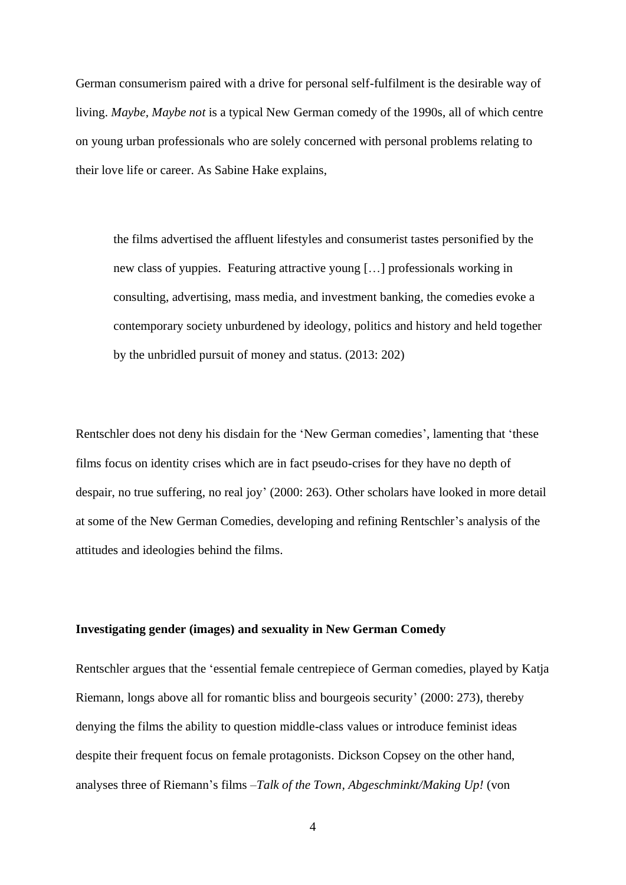German consumerism paired with a drive for personal self-fulfilment is the desirable way of living. *Maybe, Maybe not* is a typical New German comedy of the 1990s, all of which centre on young urban professionals who are solely concerned with personal problems relating to their love life or career. As Sabine Hake explains,

the films advertised the affluent lifestyles and consumerist tastes personified by the new class of yuppies. Featuring attractive young […] professionals working in consulting, advertising, mass media, and investment banking, the comedies evoke a contemporary society unburdened by ideology, politics and history and held together by the unbridled pursuit of money and status. (2013: 202)

Rentschler does not deny his disdain for the 'New German comedies', lamenting that 'these films focus on identity crises which are in fact pseudo-crises for they have no depth of despair, no true suffering, no real joy' (2000: 263). Other scholars have looked in more detail at some of the New German Comedies, developing and refining Rentschler's analysis of the attitudes and ideologies behind the films.

### **Investigating gender (images) and sexuality in New German Comedy**

Rentschler argues that the 'essential female centrepiece of German comedies, played by Katja Riemann, longs above all for romantic bliss and bourgeois security' (2000: 273), thereby denying the films the ability to question middle-class values or introduce feminist ideas despite their frequent focus on female protagonists. Dickson Copsey on the other hand, analyses three of Riemann's films –*Talk of the Town, Abgeschminkt/Making Up!* (von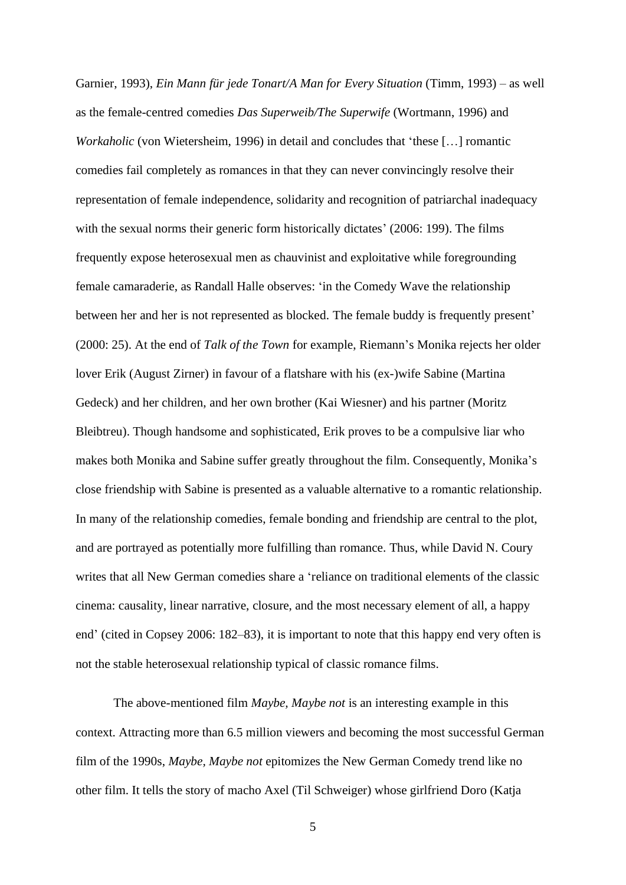Garnier, 1993), *Ein Mann für jede Tonart/A Man for Every Situation* (Timm, 1993) – as well as the female-centred comedies *Das Superweib/The Superwife* (Wortmann, 1996) and *Workaholic* (von Wietersheim, 1996) in detail and concludes that 'these […] romantic comedies fail completely as romances in that they can never convincingly resolve their representation of female independence, solidarity and recognition of patriarchal inadequacy with the sexual norms their generic form historically dictates' (2006: 199). The films frequently expose heterosexual men as chauvinist and exploitative while foregrounding female camaraderie, as Randall Halle observes: 'in the Comedy Wave the relationship between her and her is not represented as blocked. The female buddy is frequently present' (2000: 25). At the end of *Talk of the Town* for example, Riemann's Monika rejects her older lover Erik (August Zirner) in favour of a flatshare with his (ex-)wife Sabine (Martina Gedeck) and her children, and her own brother (Kai Wiesner) and his partner (Moritz Bleibtreu). Though handsome and sophisticated, Erik proves to be a compulsive liar who makes both Monika and Sabine suffer greatly throughout the film. Consequently, Monika's close friendship with Sabine is presented as a valuable alternative to a romantic relationship. In many of the relationship comedies, female bonding and friendship are central to the plot, and are portrayed as potentially more fulfilling than romance. Thus, while David N. Coury writes that all New German comedies share a 'reliance on traditional elements of the classic cinema: causality, linear narrative, closure, and the most necessary element of all, a happy end' (cited in Copsey 2006: 182–83), it is important to note that this happy end very often is not the stable heterosexual relationship typical of classic romance films.

The above-mentioned film *Maybe, Maybe not* is an interesting example in this context. Attracting more than 6.5 million viewers and becoming the most successful German film of the 1990s, *Maybe, Maybe not* epitomizes the New German Comedy trend like no other film. It tells the story of macho Axel (Til Schweiger) whose girlfriend Doro (Katja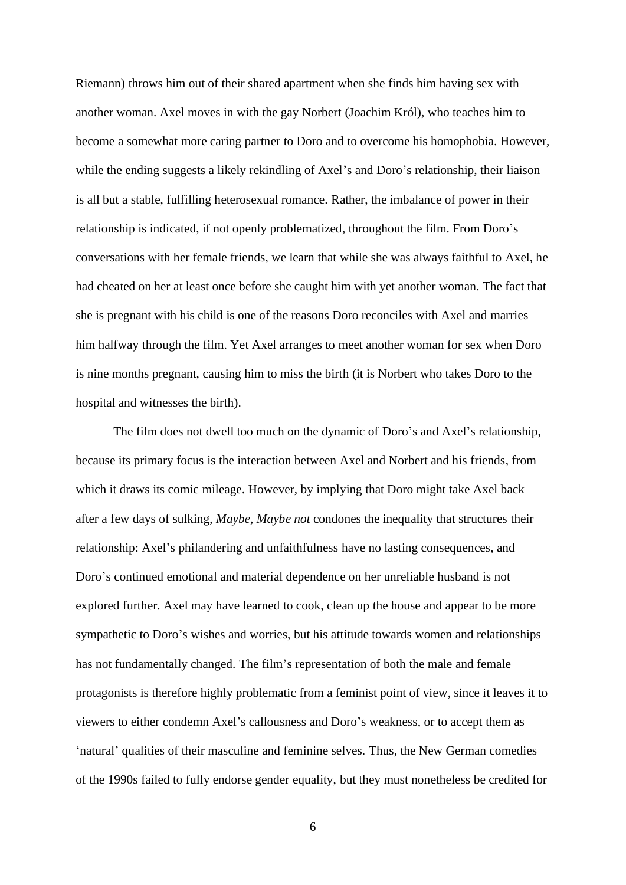Riemann) throws him out of their shared apartment when she finds him having sex with another woman. Axel moves in with the gay Norbert (Joachim Król), who teaches him to become a somewhat more caring partner to Doro and to overcome his homophobia. However, while the ending suggests a likely rekindling of Axel's and Doro's relationship, their liaison is all but a stable, fulfilling heterosexual romance. Rather, the imbalance of power in their relationship is indicated, if not openly problematized, throughout the film. From Doro's conversations with her female friends, we learn that while she was always faithful to Axel, he had cheated on her at least once before she caught him with yet another woman. The fact that she is pregnant with his child is one of the reasons Doro reconciles with Axel and marries him halfway through the film. Yet Axel arranges to meet another woman for sex when Doro is nine months pregnant, causing him to miss the birth (it is Norbert who takes Doro to the hospital and witnesses the birth).

The film does not dwell too much on the dynamic of Doro's and Axel's relationship, because its primary focus is the interaction between Axel and Norbert and his friends, from which it draws its comic mileage. However, by implying that Doro might take Axel back after a few days of sulking, *Maybe, Maybe not* condones the inequality that structures their relationship: Axel's philandering and unfaithfulness have no lasting consequences, and Doro's continued emotional and material dependence on her unreliable husband is not explored further. Axel may have learned to cook, clean up the house and appear to be more sympathetic to Doro's wishes and worries, but his attitude towards women and relationships has not fundamentally changed. The film's representation of both the male and female protagonists is therefore highly problematic from a feminist point of view, since it leaves it to viewers to either condemn Axel's callousness and Doro's weakness, or to accept them as 'natural' qualities of their masculine and feminine selves. Thus, the New German comedies of the 1990s failed to fully endorse gender equality, but they must nonetheless be credited for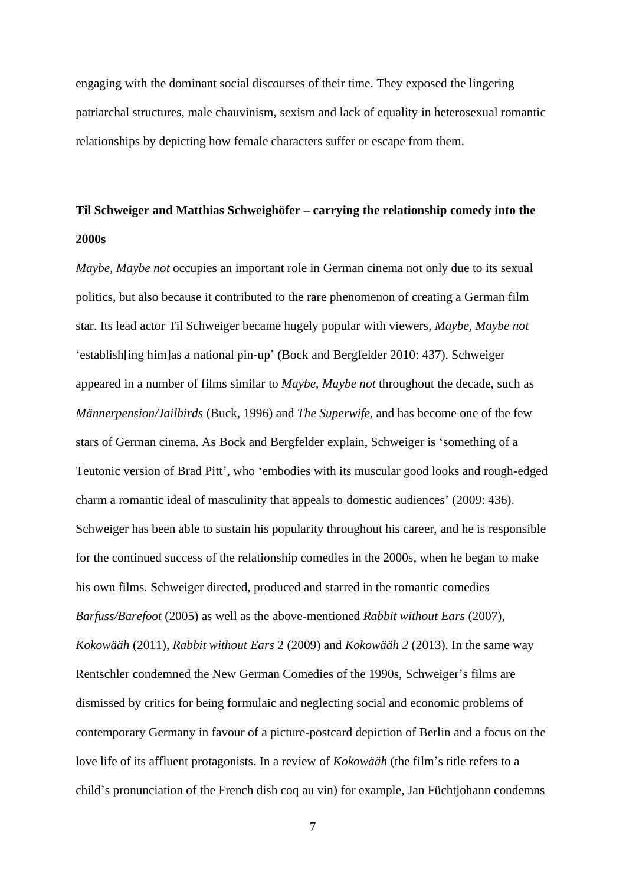engaging with the dominant social discourses of their time. They exposed the lingering patriarchal structures, male chauvinism, sexism and lack of equality in heterosexual romantic relationships by depicting how female characters suffer or escape from them.

### **Til Schweiger and Matthias Schweighöfer – carrying the relationship comedy into the 2000s**

*Maybe, Maybe not* occupies an important role in German cinema not only due to its sexual politics, but also because it contributed to the rare phenomenon of creating a German film star. Its lead actor Til Schweiger became hugely popular with viewers, *Maybe, Maybe not*  'establish[ing him]as a national pin-up' (Bock and Bergfelder 2010: 437). Schweiger appeared in a number of films similar to *Maybe, Maybe not* throughout the decade, such as *Männerpension/Jailbirds* (Buck, 1996) and *The Superwife*, and has become one of the few stars of German cinema. As Bock and Bergfelder explain, Schweiger is 'something of a Teutonic version of Brad Pitt', who 'embodies with its muscular good looks and rough-edged charm a romantic ideal of masculinity that appeals to domestic audiences' (2009: 436). Schweiger has been able to sustain his popularity throughout his career, and he is responsible for the continued success of the relationship comedies in the 2000s, when he began to make his own films. Schweiger directed, produced and starred in the romantic comedies *Barfuss/Barefoot* (2005) as well as the above-mentioned *Rabbit without Ears* (2007), *Kokowääh* (2011), *Rabbit without Ears* 2 (2009) and *Kokowääh 2* (2013). In the same way Rentschler condemned the New German Comedies of the 1990s, Schweiger's films are dismissed by critics for being formulaic and neglecting social and economic problems of contemporary Germany in favour of a picture-postcard depiction of Berlin and a focus on the love life of its affluent protagonists. In a review of *Kokowääh* (the film's title refers to a child's pronunciation of the French dish coq au vin) for example, Jan Füchtjohann condemns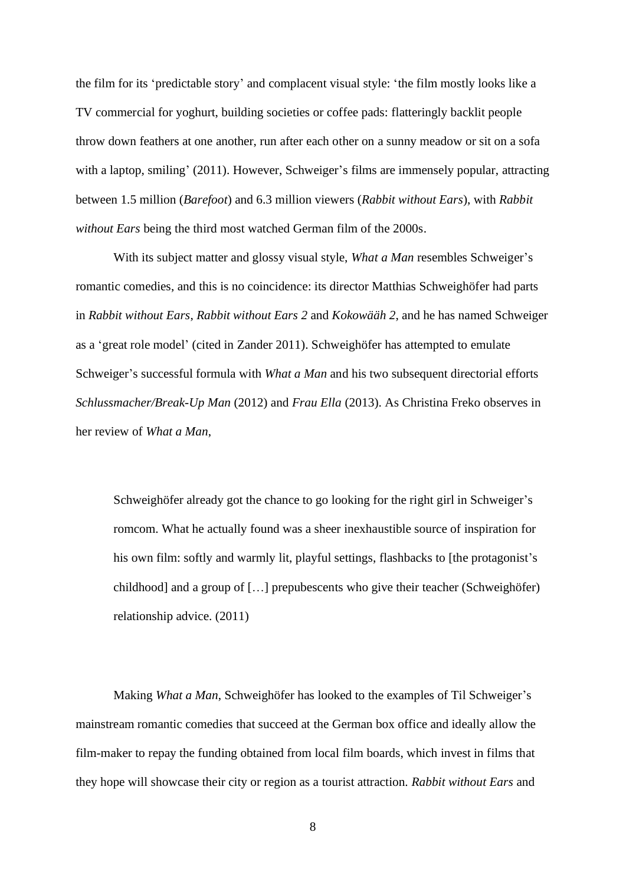the film for its 'predictable story' and complacent visual style: 'the film mostly looks like a TV commercial for yoghurt, building societies or coffee pads: flatteringly backlit people throw down feathers at one another, run after each other on a sunny meadow or sit on a sofa with a laptop, smiling' (2011). However, Schweiger's films are immensely popular, attracting between 1.5 million (*Barefoot*) and 6.3 million viewers (*Rabbit without Ears*), with *Rabbit without Ears* being the third most watched German film of the 2000s.

With its subject matter and glossy visual style, *What a Man* resembles Schweiger's romantic comedies, and this is no coincidence: its director Matthias Schweighöfer had parts in *Rabbit without Ears*, *Rabbit without Ears 2* and *Kokowääh 2*, and he has named Schweiger as a 'great role model' (cited in Zander 2011). Schweighöfer has attempted to emulate Schweiger's successful formula with *What a Man* and his two subsequent directorial efforts *Schlussmacher/Break-Up Man* (2012) and *Frau Ella* (2013). As Christina Freko observes in her review of *What a Man*,

Schweighöfer already got the chance to go looking for the right girl in Schweiger's romcom. What he actually found was a sheer inexhaustible source of inspiration for his own film: softly and warmly lit, playful settings, flashbacks to [the protagonist's childhood] and a group of […] prepubescents who give their teacher (Schweighöfer) relationship advice. (2011)

Making *What a Man*, Schweighöfer has looked to the examples of Til Schweiger's mainstream romantic comedies that succeed at the German box office and ideally allow the film-maker to repay the funding obtained from local film boards, which invest in films that they hope will showcase their city or region as a tourist attraction. *Rabbit without Ears* and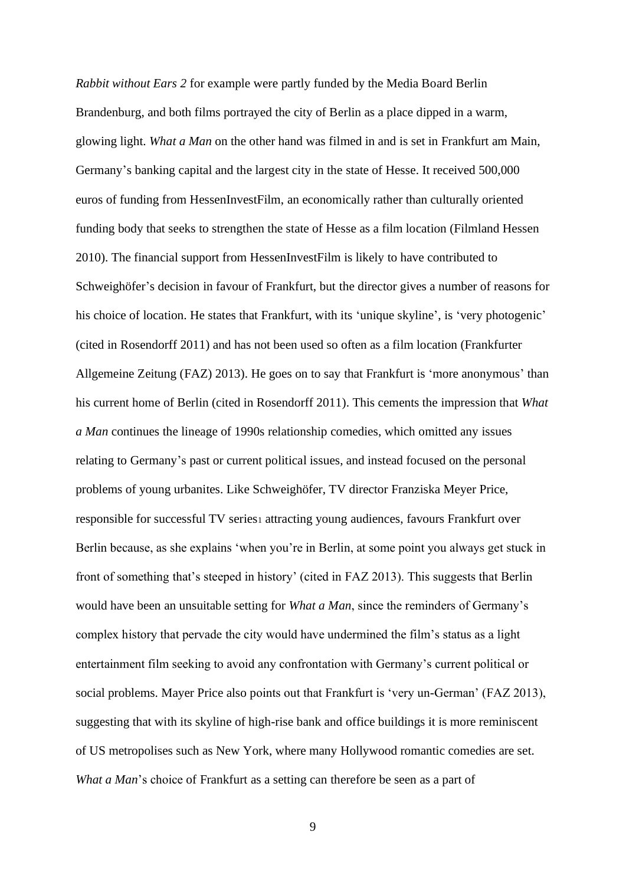*Rabbit without Ears 2* for example were partly funded by the Media Board Berlin Brandenburg, and both films portrayed the city of Berlin as a place dipped in a warm, glowing light. *What a Man* on the other hand was filmed in and is set in Frankfurt am Main, Germany's banking capital and the largest city in the state of Hesse. It received 500,000 euros of funding from HessenInvestFilm, an economically rather than culturally oriented funding body that seeks to strengthen the state of Hesse as a film location (Filmland Hessen 2010). The financial support from HessenInvestFilm is likely to have contributed to Schweighöfer's decision in favour of Frankfurt, but the director gives a number of reasons for his choice of location. He states that Frankfurt, with its 'unique skyline', is 'very photogenic' (cited in Rosendorff 2011) and has not been used so often as a film location (Frankfurter Allgemeine Zeitung (FAZ) 2013). He goes on to say that Frankfurt is 'more anonymous' than his current home of Berlin (cited in Rosendorff 2011). This cements the impression that *What a Man* continues the lineage of 1990s relationship comedies, which omitted any issues relating to Germany's past or current political issues, and instead focused on the personal problems of young urbanites. Like Schweighöfer, TV director Franziska Meyer Price, responsible for successful TV series1 attracting young audiences, favours Frankfurt over Berlin because, as she explains 'when you're in Berlin, at some point you always get stuck in front of something that's steeped in history' (cited in FAZ 2013). This suggests that Berlin would have been an unsuitable setting for *What a Man*, since the reminders of Germany's complex history that pervade the city would have undermined the film's status as a light entertainment film seeking to avoid any confrontation with Germany's current political or social problems. Mayer Price also points out that Frankfurt is 'very un-German' (FAZ 2013), suggesting that with its skyline of high-rise bank and office buildings it is more reminiscent of US metropolises such as New York, where many Hollywood romantic comedies are set. *What a Man*'s choice of Frankfurt as a setting can therefore be seen as a part of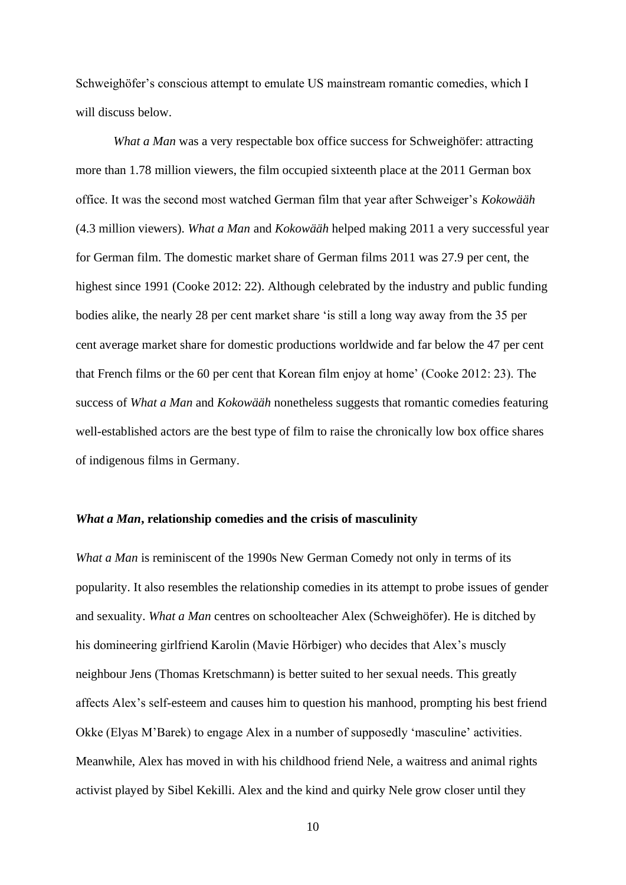Schweighöfer's conscious attempt to emulate US mainstream romantic comedies, which I will discuss below.

*What a Man* was a very respectable box office success for Schweighöfer: attracting more than 1.78 million viewers, the film occupied sixteenth place at the 2011 German box office. It was the second most watched German film that year after Schweiger's *Kokowääh* (4.3 million viewers). *What a Man* and *Kokowääh* helped making 2011 a very successful year for German film. The domestic market share of German films 2011 was 27.9 per cent, the highest since 1991 (Cooke 2012: 22). Although celebrated by the industry and public funding bodies alike, the nearly 28 per cent market share 'is still a long way away from the 35 per cent average market share for domestic productions worldwide and far below the 47 per cent that French films or the 60 per cent that Korean film enjoy at home' (Cooke 2012: 23). The success of *What a Man* and *Kokowääh* nonetheless suggests that romantic comedies featuring well-established actors are the best type of film to raise the chronically low box office shares of indigenous films in Germany.

#### *What a Man***, relationship comedies and the crisis of masculinity**

*What a Man* is reminiscent of the 1990s New German Comedy not only in terms of its popularity. It also resembles the relationship comedies in its attempt to probe issues of gender and sexuality. *What a Man* centres on schoolteacher Alex (Schweighöfer). He is ditched by his domineering girlfriend Karolin (Mavie Hörbiger) who decides that Alex's muscly neighbour Jens (Thomas Kretschmann) is better suited to her sexual needs. This greatly affects Alex's self-esteem and causes him to question his manhood, prompting his best friend Okke (Elyas M'Barek) to engage Alex in a number of supposedly 'masculine' activities. Meanwhile, Alex has moved in with his childhood friend Nele, a waitress and animal rights activist played by Sibel Kekilli. Alex and the kind and quirky Nele grow closer until they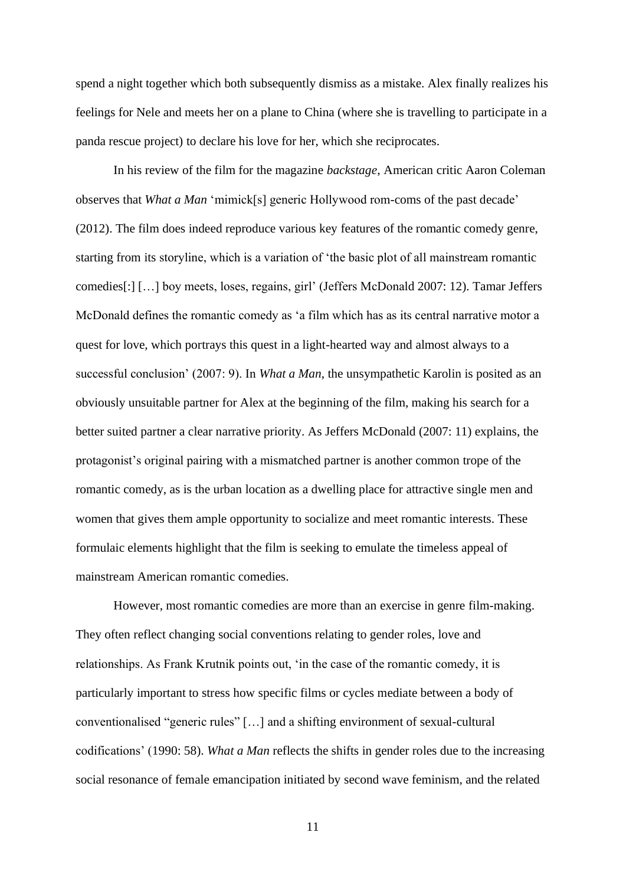spend a night together which both subsequently dismiss as a mistake. Alex finally realizes his feelings for Nele and meets her on a plane to China (where she is travelling to participate in a panda rescue project) to declare his love for her, which she reciprocates.

In his review of the film for the magazine *backstage*, American critic Aaron Coleman observes that *What a Man* 'mimick[s] generic Hollywood rom-coms of the past decade' (2012). The film does indeed reproduce various key features of the romantic comedy genre, starting from its storyline, which is a variation of 'the basic plot of all mainstream romantic comedies[:] […] boy meets, loses, regains, girl' (Jeffers McDonald 2007: 12). Tamar Jeffers McDonald defines the romantic comedy as 'a film which has as its central narrative motor a quest for love, which portrays this quest in a light-hearted way and almost always to a successful conclusion' (2007: 9). In *What a Man*, the unsympathetic Karolin is posited as an obviously unsuitable partner for Alex at the beginning of the film, making his search for a better suited partner a clear narrative priority. As Jeffers McDonald (2007: 11) explains, the protagonist's original pairing with a mismatched partner is another common trope of the romantic comedy, as is the urban location as a dwelling place for attractive single men and women that gives them ample opportunity to socialize and meet romantic interests. These formulaic elements highlight that the film is seeking to emulate the timeless appeal of mainstream American romantic comedies.

However, most romantic comedies are more than an exercise in genre film-making. They often reflect changing social conventions relating to gender roles, love and relationships. As Frank Krutnik points out, 'in the case of the romantic comedy, it is particularly important to stress how specific films or cycles mediate between a body of conventionalised "generic rules" […] and a shifting environment of sexual-cultural codifications' (1990: 58). *What a Man* reflects the shifts in gender roles due to the increasing social resonance of female emancipation initiated by second wave feminism, and the related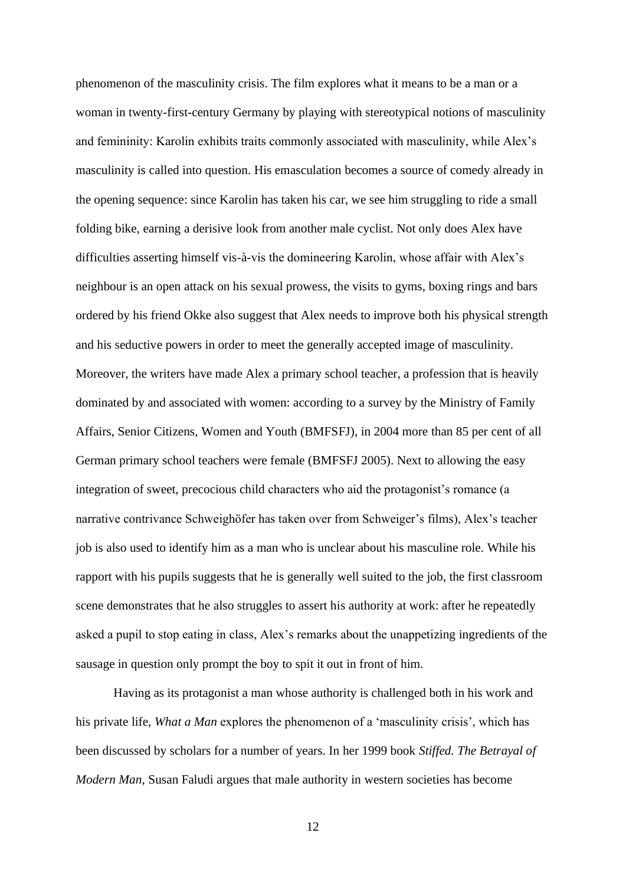phenomenon of the masculinity crisis. The film explores what it means to be a man or a woman in twenty-first-century Germany by playing with stereotypical notions of masculinity and femininity: Karolin exhibits traits commonly associated with masculinity, while Alex's masculinity is called into question. His emasculation becomes a source of comedy already in the opening sequence: since Karolin has taken his car, we see him struggling to ride a small folding bike, earning a derisive look from another male cyclist. Not only does Alex have difficulties asserting himself vis-à-vis the domineering Karolin, whose affair with Alex's neighbour is an open attack on his sexual prowess, the visits to gyms, boxing rings and bars ordered by his friend Okke also suggest that Alex needs to improve both his physical strength and his seductive powers in order to meet the generally accepted image of masculinity. Moreover, the writers have made Alex a primary school teacher, a profession that is heavily dominated by and associated with women: according to a survey by the Ministry of Family Affairs, Senior Citizens, Women and Youth (BMFSFJ), in 2004 more than 85 per cent of all German primary school teachers were female (BMFSFJ 2005). Next to allowing the easy integration of sweet, precocious child characters who aid the protagonist's romance (a narrative contrivance Schweighöfer has taken over from Schweiger's films), Alex's teacher job is also used to identify him as a man who is unclear about his masculine role. While his rapport with his pupils suggests that he is generally well suited to the job, the first classroom scene demonstrates that he also struggles to assert his authority at work: after he repeatedly asked a pupil to stop eating in class, Alex's remarks about the unappetizing ingredients of the sausage in question only prompt the boy to spit it out in front of him.

Having as its protagonist a man whose authority is challenged both in his work and his private life, *What a Man* explores the phenomenon of a 'masculinity crisis', which has been discussed by scholars for a number of years. In her 1999 book *Stiffed. The Betrayal of Modern Man*, Susan Faludi argues that male authority in western societies has become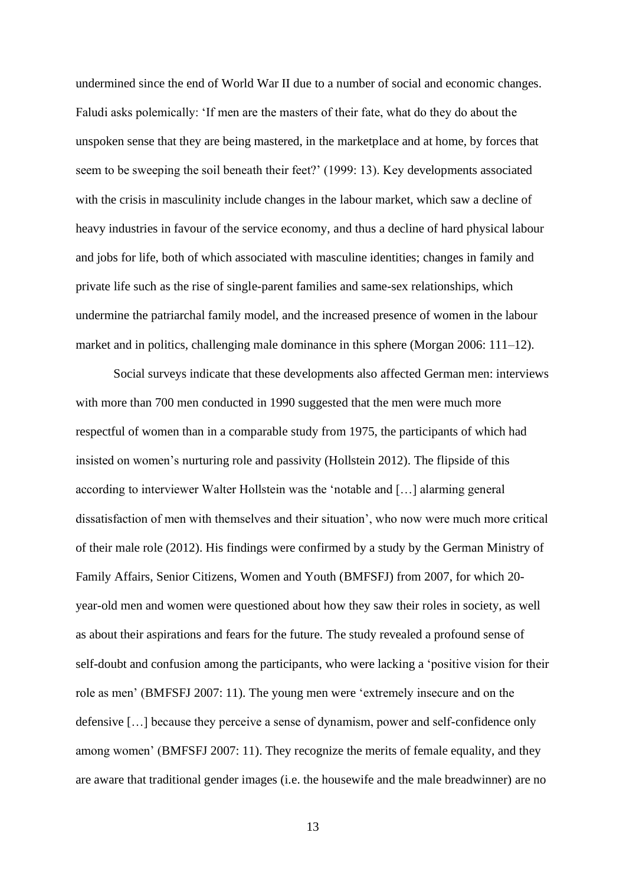undermined since the end of World War II due to a number of social and economic changes. Faludi asks polemically: 'If men are the masters of their fate, what do they do about the unspoken sense that they are being mastered, in the marketplace and at home, by forces that seem to be sweeping the soil beneath their feet?' (1999: 13). Key developments associated with the crisis in masculinity include changes in the labour market, which saw a decline of heavy industries in favour of the service economy, and thus a decline of hard physical labour and jobs for life, both of which associated with masculine identities; changes in family and private life such as the rise of single-parent families and same-sex relationships, which undermine the patriarchal family model, and the increased presence of women in the labour market and in politics, challenging male dominance in this sphere (Morgan 2006: 111–12).

Social surveys indicate that these developments also affected German men: interviews with more than 700 men conducted in 1990 suggested that the men were much more respectful of women than in a comparable study from 1975, the participants of which had insisted on women's nurturing role and passivity (Hollstein 2012). The flipside of this according to interviewer Walter Hollstein was the 'notable and […] alarming general dissatisfaction of men with themselves and their situation', who now were much more critical of their male role (2012). His findings were confirmed by a study by the German Ministry of Family Affairs, Senior Citizens, Women and Youth (BMFSFJ) from 2007, for which 20 year-old men and women were questioned about how they saw their roles in society, as well as about their aspirations and fears for the future. The study revealed a profound sense of self-doubt and confusion among the participants, who were lacking a 'positive vision for their role as men' (BMFSFJ 2007: 11). The young men were 'extremely insecure and on the defensive […] because they perceive a sense of dynamism, power and self-confidence only among women' (BMFSFJ 2007: 11). They recognize the merits of female equality, and they are aware that traditional gender images (i.e. the housewife and the male breadwinner) are no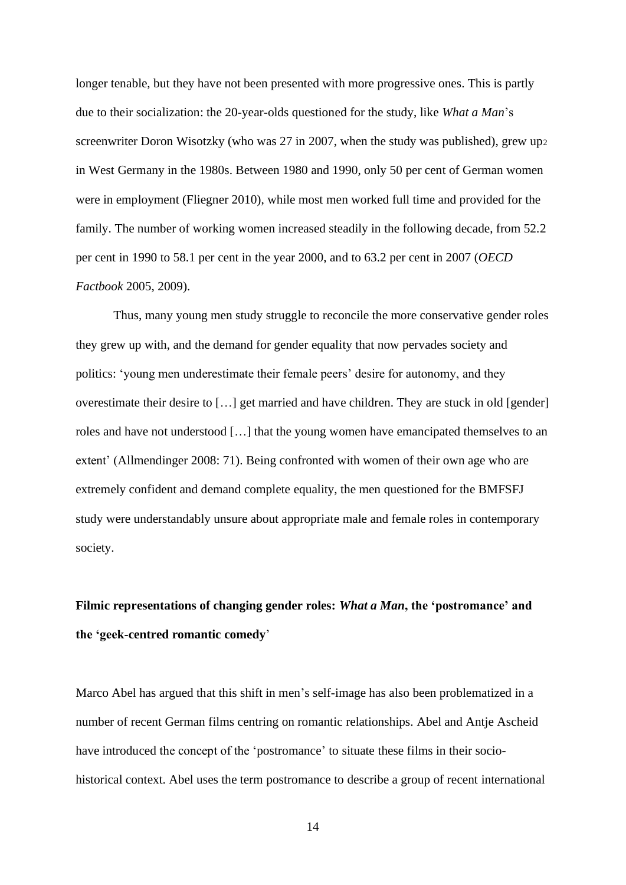longer tenable, but they have not been presented with more progressive ones. This is partly due to their socialization: the 20-year-olds questioned for the study, like *What a Man*'s screenwriter Doron Wisotzky (who was 27 in 2007, when the study was published), grew up<sub>2</sub> in West Germany in the 1980s. Between 1980 and 1990, only 50 per cent of German women were in employment (Fliegner 2010), while most men worked full time and provided for the family. The number of working women increased steadily in the following decade, from 52.2 per cent in 1990 to 58.1 per cent in the year 2000, and to 63.2 per cent in 2007 (*OECD Factbook* 2005, 2009).

Thus, many young men study struggle to reconcile the more conservative gender roles they grew up with, and the demand for gender equality that now pervades society and politics: 'young men underestimate their female peers' desire for autonomy, and they overestimate their desire to […] get married and have children. They are stuck in old [gender] roles and have not understood […] that the young women have emancipated themselves to an extent' (Allmendinger 2008: 71). Being confronted with women of their own age who are extremely confident and demand complete equality, the men questioned for the BMFSFJ study were understandably unsure about appropriate male and female roles in contemporary society.

### **Filmic representations of changing gender roles:** *What a Man***, the 'postromance' and the 'geek-centred romantic comedy**'

Marco Abel has argued that this shift in men's self-image has also been problematized in a number of recent German films centring on romantic relationships. Abel and Antje Ascheid have introduced the concept of the 'postromance' to situate these films in their sociohistorical context. Abel uses the term postromance to describe a group of recent international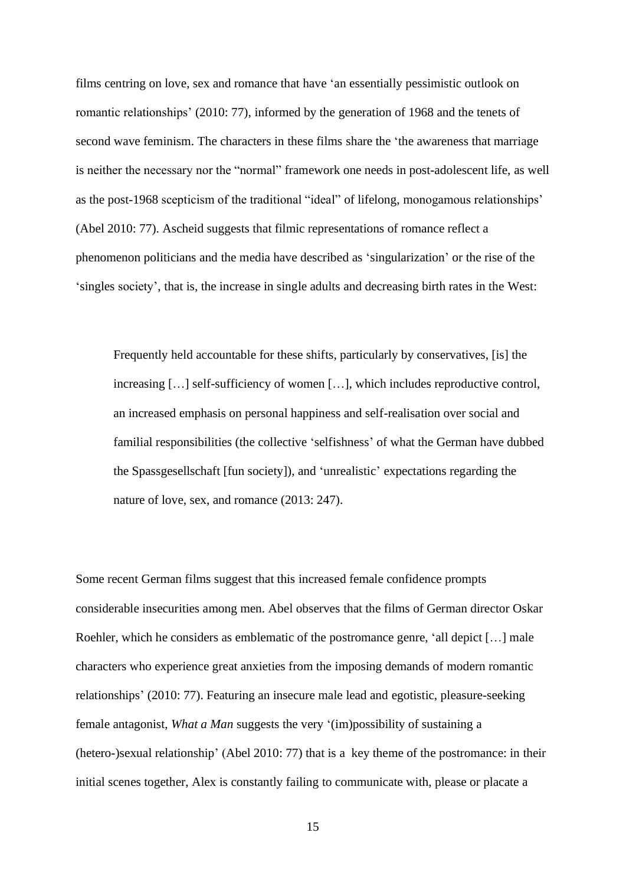films centring on love, sex and romance that have 'an essentially pessimistic outlook on romantic relationships' (2010: 77), informed by the generation of 1968 and the tenets of second wave feminism. The characters in these films share the 'the awareness that marriage is neither the necessary nor the "normal" framework one needs in post-adolescent life, as well as the post-1968 scepticism of the traditional "ideal" of lifelong, monogamous relationships' (Abel 2010: 77). Ascheid suggests that filmic representations of romance reflect a phenomenon politicians and the media have described as 'singularization' or the rise of the 'singles society', that is, the increase in single adults and decreasing birth rates in the West:

Frequently held accountable for these shifts, particularly by conservatives, [is] the increasing […] self-sufficiency of women […], which includes reproductive control, an increased emphasis on personal happiness and self-realisation over social and familial responsibilities (the collective 'selfishness' of what the German have dubbed the Spassgesellschaft [fun society]), and 'unrealistic' expectations regarding the nature of love, sex, and romance (2013: 247).

Some recent German films suggest that this increased female confidence prompts considerable insecurities among men. Abel observes that the films of German director Oskar Roehler, which he considers as emblematic of the postromance genre, 'all depict [...] male characters who experience great anxieties from the imposing demands of modern romantic relationships' (2010: 77). Featuring an insecure male lead and egotistic, pleasure-seeking female antagonist, *What a Man* suggests the very '(im)possibility of sustaining a (hetero-)sexual relationship' (Abel 2010: 77) that is a key theme of the postromance: in their initial scenes together, Alex is constantly failing to communicate with, please or placate a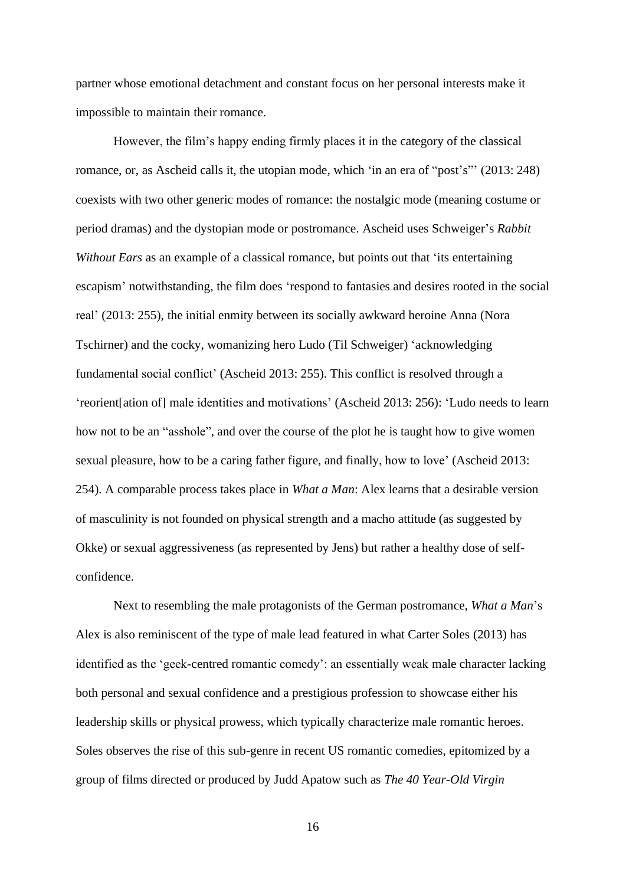partner whose emotional detachment and constant focus on her personal interests make it impossible to maintain their romance.

However, the film's happy ending firmly places it in the category of the classical romance, or, as Ascheid calls it, the utopian mode, which 'in an era of "post's"' (2013: 248) coexists with two other generic modes of romance: the nostalgic mode (meaning costume or period dramas) and the dystopian mode or postromance. Ascheid uses Schweiger's *Rabbit Without Ears* as an example of a classical romance, but points out that 'its entertaining escapism' notwithstanding, the film does 'respond to fantasies and desires rooted in the social real' (2013: 255), the initial enmity between its socially awkward heroine Anna (Nora Tschirner) and the cocky, womanizing hero Ludo (Til Schweiger) 'acknowledging fundamental social conflict' (Ascheid 2013: 255). This conflict is resolved through a 'reorient[ation of] male identities and motivations' (Ascheid 2013: 256): 'Ludo needs to learn how not to be an "asshole", and over the course of the plot he is taught how to give women sexual pleasure, how to be a caring father figure, and finally, how to love' (Ascheid 2013: 254). A comparable process takes place in *What a Man*: Alex learns that a desirable version of masculinity is not founded on physical strength and a macho attitude (as suggested by Okke) or sexual aggressiveness (as represented by Jens) but rather a healthy dose of selfconfidence.

Next to resembling the male protagonists of the German postromance, *What a Man*'s Alex is also reminiscent of the type of male lead featured in what Carter Soles (2013) has identified as the 'geek-centred romantic comedy': an essentially weak male character lacking both personal and sexual confidence and a prestigious profession to showcase either his leadership skills or physical prowess, which typically characterize male romantic heroes. Soles observes the rise of this sub-genre in recent US romantic comedies, epitomized by a group of films directed or produced by Judd Apatow such as *The 40 Year-Old Virgin*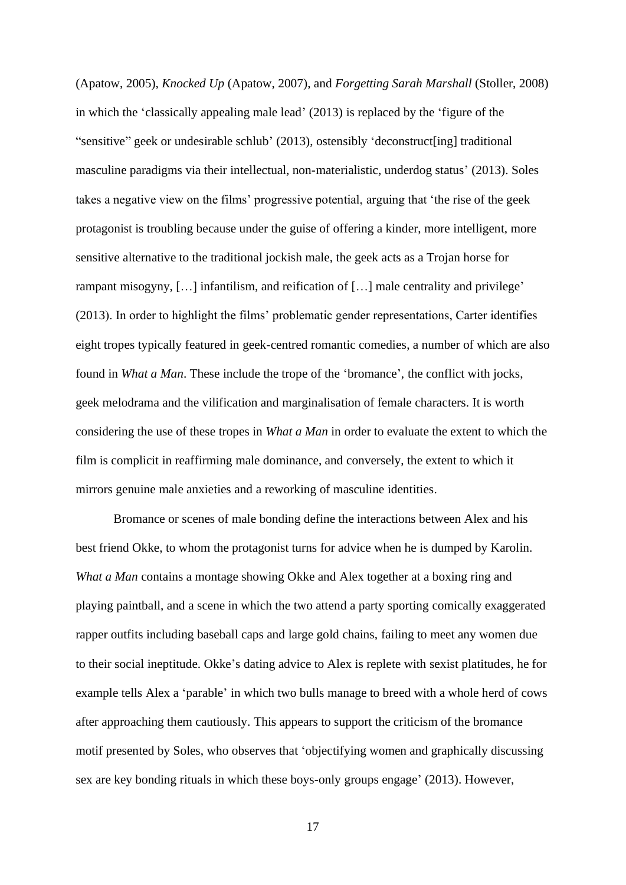(Apatow, 2005), *Knocked Up* (Apatow, 2007), and *Forgetting Sarah Marshall* (Stoller, 2008) in which the 'classically appealing male lead' (2013) is replaced by the 'figure of the "sensitive" geek or undesirable schlub' (2013), ostensibly 'deconstruct[ing] traditional masculine paradigms via their intellectual, non-materialistic, underdog status' (2013). Soles takes a negative view on the films' progressive potential, arguing that 'the rise of the geek protagonist is troubling because under the guise of offering a kinder, more intelligent, more sensitive alternative to the traditional jockish male, the geek acts as a Trojan horse for rampant misogyny, […] infantilism, and reification of […] male centrality and privilege' (2013). In order to highlight the films' problematic gender representations, Carter identifies eight tropes typically featured in geek-centred romantic comedies, a number of which are also found in *What a Man*. These include the trope of the 'bromance', the conflict with jocks, geek melodrama and the vilification and marginalisation of female characters. It is worth considering the use of these tropes in *What a Man* in order to evaluate the extent to which the film is complicit in reaffirming male dominance, and conversely, the extent to which it mirrors genuine male anxieties and a reworking of masculine identities.

Bromance or scenes of male bonding define the interactions between Alex and his best friend Okke, to whom the protagonist turns for advice when he is dumped by Karolin. *What a Man* contains a montage showing Okke and Alex together at a boxing ring and playing paintball, and a scene in which the two attend a party sporting comically exaggerated rapper outfits including baseball caps and large gold chains, failing to meet any women due to their social ineptitude. Okke's dating advice to Alex is replete with sexist platitudes, he for example tells Alex a 'parable' in which two bulls manage to breed with a whole herd of cows after approaching them cautiously. This appears to support the criticism of the bromance motif presented by Soles, who observes that 'objectifying women and graphically discussing sex are key bonding rituals in which these boys-only groups engage' (2013). However,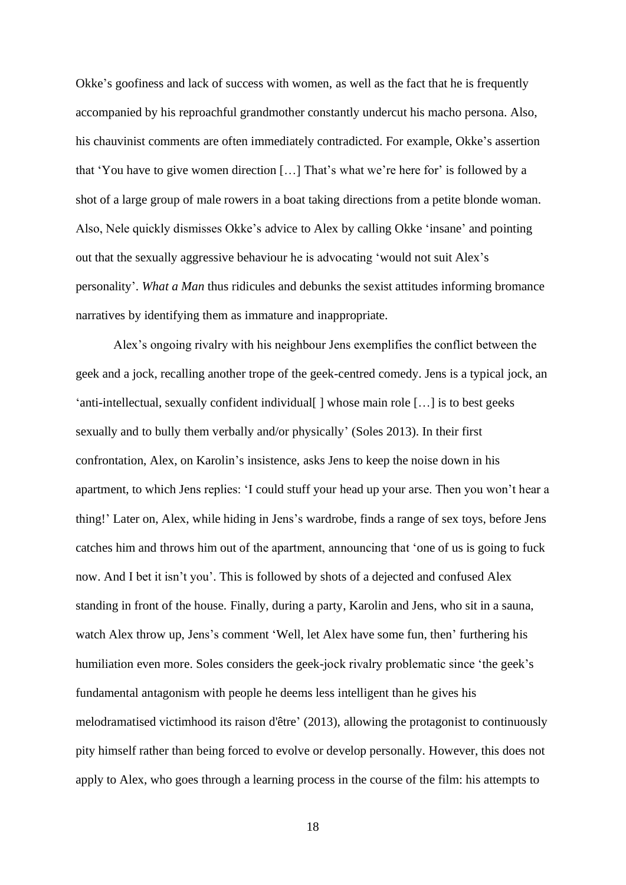Okke's goofiness and lack of success with women, as well as the fact that he is frequently accompanied by his reproachful grandmother constantly undercut his macho persona. Also, his chauvinist comments are often immediately contradicted. For example, Okke's assertion that 'You have to give women direction […] That's what we're here for' is followed by a shot of a large group of male rowers in a boat taking directions from a petite blonde woman. Also, Nele quickly dismisses Okke's advice to Alex by calling Okke 'insane' and pointing out that the sexually aggressive behaviour he is advocating 'would not suit Alex's personality'. *What a Man* thus ridicules and debunks the sexist attitudes informing bromance narratives by identifying them as immature and inappropriate.

Alex's ongoing rivalry with his neighbour Jens exemplifies the conflict between the geek and a jock, recalling another trope of the geek-centred comedy. Jens is a typical jock, an 'anti-intellectual, sexually confident individual[ ] whose main role […] is to best geeks sexually and to bully them verbally and/or physically' (Soles 2013). In their first confrontation, Alex, on Karolin's insistence, asks Jens to keep the noise down in his apartment, to which Jens replies: 'I could stuff your head up your arse. Then you won't hear a thing!' Later on, Alex, while hiding in Jens's wardrobe, finds a range of sex toys, before Jens catches him and throws him out of the apartment, announcing that 'one of us is going to fuck now. And I bet it isn't you'. This is followed by shots of a dejected and confused Alex standing in front of the house. Finally, during a party, Karolin and Jens, who sit in a sauna, watch Alex throw up, Jens's comment 'Well, let Alex have some fun, then' furthering his humiliation even more. Soles considers the geek-jock rivalry problematic since 'the geek's fundamental antagonism with people he deems less intelligent than he gives his melodramatised victimhood its raison d'être' (2013), allowing the protagonist to continuously pity himself rather than being forced to evolve or develop personally. However, this does not apply to Alex, who goes through a learning process in the course of the film: his attempts to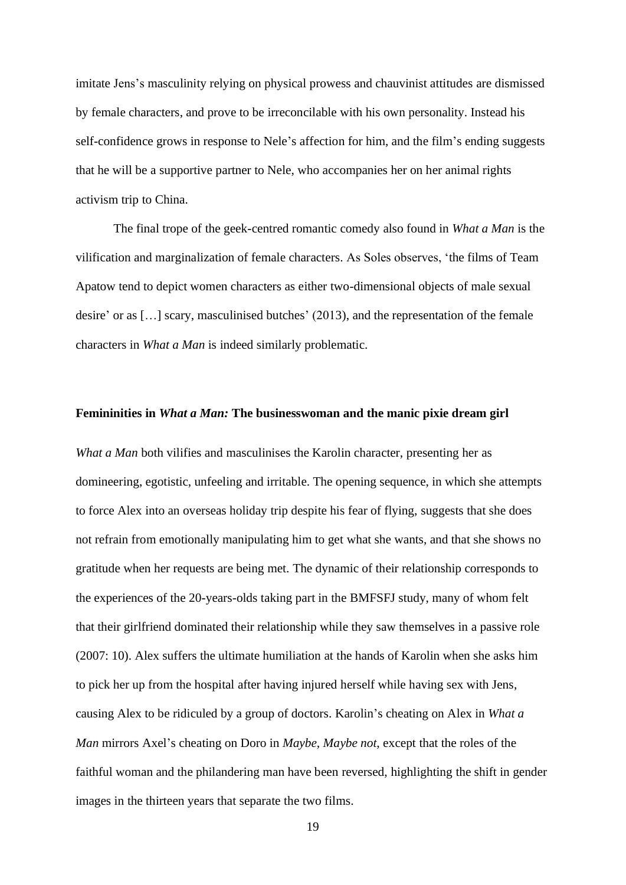imitate Jens's masculinity relying on physical prowess and chauvinist attitudes are dismissed by female characters, and prove to be irreconcilable with his own personality. Instead his self-confidence grows in response to Nele's affection for him, and the film's ending suggests that he will be a supportive partner to Nele, who accompanies her on her animal rights activism trip to China.

The final trope of the geek-centred romantic comedy also found in *What a Man* is the vilification and marginalization of female characters. As Soles observes, 'the films of Team Apatow tend to depict women characters as either two-dimensional objects of male sexual desire' or as […] scary, masculinised butches' (2013), and the representation of the female characters in *What a Man* is indeed similarly problematic.

### **Femininities in** *What a Man:* **The businesswoman and the manic pixie dream girl**

*What a Man* both vilifies and masculinises the Karolin character, presenting her as domineering, egotistic, unfeeling and irritable. The opening sequence, in which she attempts to force Alex into an overseas holiday trip despite his fear of flying, suggests that she does not refrain from emotionally manipulating him to get what she wants, and that she shows no gratitude when her requests are being met. The dynamic of their relationship corresponds to the experiences of the 20-years-olds taking part in the BMFSFJ study, many of whom felt that their girlfriend dominated their relationship while they saw themselves in a passive role (2007: 10). Alex suffers the ultimate humiliation at the hands of Karolin when she asks him to pick her up from the hospital after having injured herself while having sex with Jens, causing Alex to be ridiculed by a group of doctors. Karolin's cheating on Alex in *What a Man* mirrors Axel's cheating on Doro in *Maybe, Maybe not*, except that the roles of the faithful woman and the philandering man have been reversed, highlighting the shift in gender images in the thirteen years that separate the two films.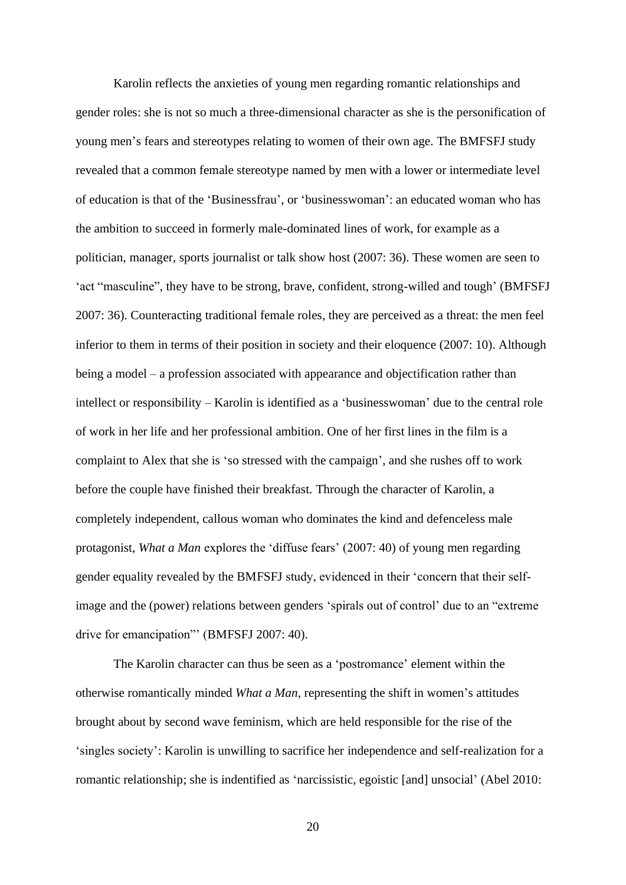Karolin reflects the anxieties of young men regarding romantic relationships and gender roles: she is not so much a three-dimensional character as she is the personification of young men's fears and stereotypes relating to women of their own age. The BMFSFJ study revealed that a common female stereotype named by men with a lower or intermediate level of education is that of the 'Businessfrau', or 'businesswoman': an educated woman who has the ambition to succeed in formerly male-dominated lines of work, for example as a politician, manager, sports journalist or talk show host (2007: 36). These women are seen to 'act "masculine", they have to be strong, brave, confident, strong-willed and tough' (BMFSFJ 2007: 36). Counteracting traditional female roles, they are perceived as a threat: the men feel inferior to them in terms of their position in society and their eloquence (2007: 10). Although being a model – a profession associated with appearance and objectification rather than intellect or responsibility – Karolin is identified as a 'businesswoman' due to the central role of work in her life and her professional ambition. One of her first lines in the film is a complaint to Alex that she is 'so stressed with the campaign', and she rushes off to work before the couple have finished their breakfast. Through the character of Karolin, a completely independent, callous woman who dominates the kind and defenceless male protagonist, *What a Man* explores the 'diffuse fears' (2007: 40) of young men regarding gender equality revealed by the BMFSFJ study, evidenced in their 'concern that their selfimage and the (power) relations between genders 'spirals out of control' due to an "extreme drive for emancipation"' (BMFSFJ 2007: 40).

The Karolin character can thus be seen as a 'postromance' element within the otherwise romantically minded *What a Man*, representing the shift in women's attitudes brought about by second wave feminism, which are held responsible for the rise of the 'singles society': Karolin is unwilling to sacrifice her independence and self-realization for a romantic relationship; she is indentified as 'narcissistic, egoistic [and] unsocial' (Abel 2010: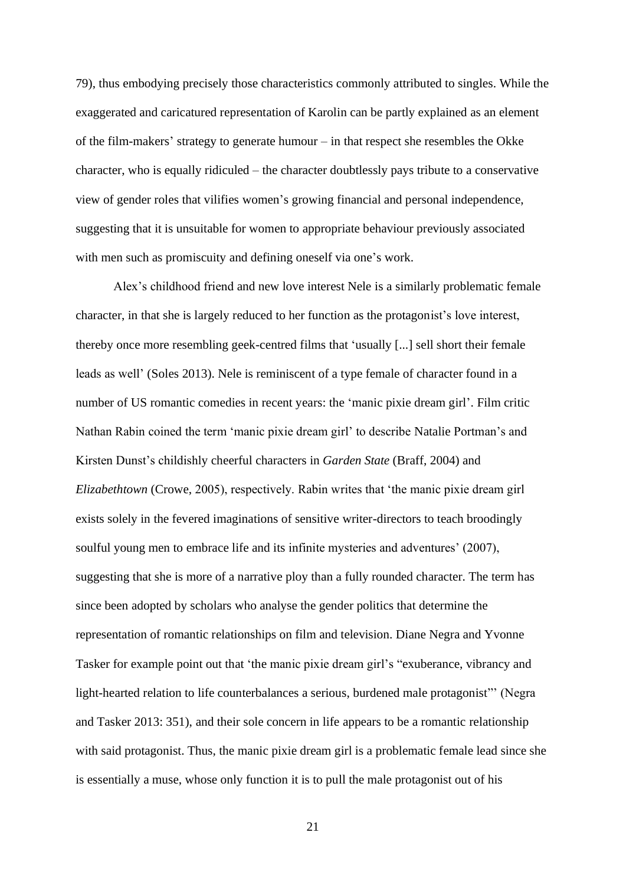79), thus embodying precisely those characteristics commonly attributed to singles. While the exaggerated and caricatured representation of Karolin can be partly explained as an element of the film-makers' strategy to generate humour – in that respect she resembles the Okke character, who is equally ridiculed – the character doubtlessly pays tribute to a conservative view of gender roles that vilifies women's growing financial and personal independence, suggesting that it is unsuitable for women to appropriate behaviour previously associated with men such as promiscuity and defining oneself via one's work.

Alex's childhood friend and new love interest Nele is a similarly problematic female character, in that she is largely reduced to her function as the protagonist's love interest, thereby once more resembling geek-centred films that 'usually [...] sell short their female leads as well' (Soles 2013). Nele is reminiscent of a type female of character found in a number of US romantic comedies in recent years: the 'manic pixie dream girl'. Film critic Nathan Rabin coined the term 'manic pixie dream girl' to describe Natalie Portman's and Kirsten Dunst's childishly cheerful characters in *Garden State* (Braff, 2004) and *Elizabethtown* (Crowe, 2005), respectively. Rabin writes that 'the manic pixie dream girl exists solely in the fevered imaginations of sensitive writer-directors to teach broodingly soulful young men to embrace life and its infinite mysteries and adventures' (2007), suggesting that she is more of a narrative ploy than a fully rounded character. The term has since been adopted by scholars who analyse the gender politics that determine the representation of romantic relationships on film and television. Diane Negra and Yvonne Tasker for example point out that 'the manic pixie dream girl's "exuberance, vibrancy and light-hearted relation to life counterbalances a serious, burdened male protagonist"' (Negra and Tasker 2013: 351), and their sole concern in life appears to be a romantic relationship with said protagonist. Thus, the manic pixie dream girl is a problematic female lead since she is essentially a muse, whose only function it is to pull the male protagonist out of his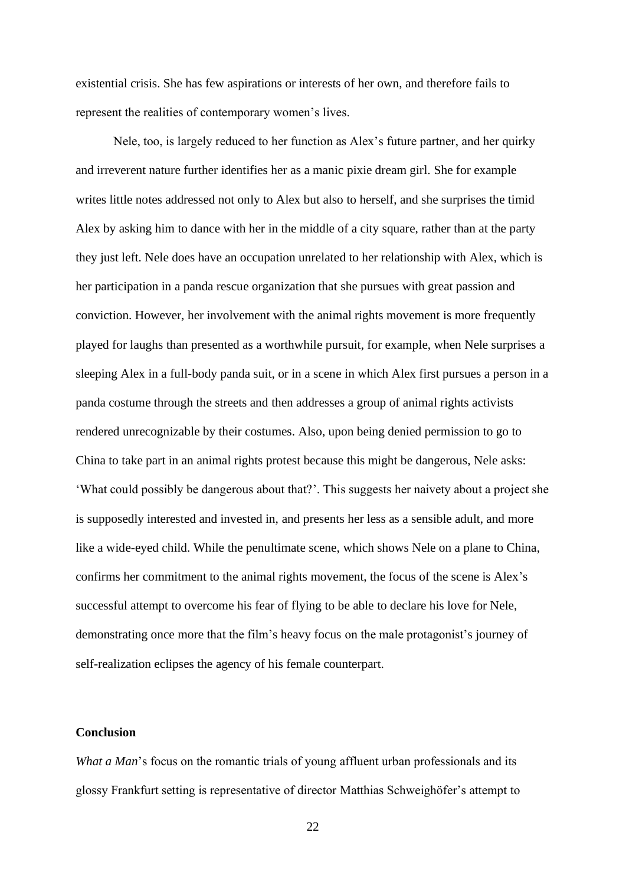existential crisis. She has few aspirations or interests of her own, and therefore fails to represent the realities of contemporary women's lives.

Nele, too, is largely reduced to her function as Alex's future partner, and her quirky and irreverent nature further identifies her as a manic pixie dream girl. She for example writes little notes addressed not only to Alex but also to herself, and she surprises the timid Alex by asking him to dance with her in the middle of a city square, rather than at the party they just left. Nele does have an occupation unrelated to her relationship with Alex, which is her participation in a panda rescue organization that she pursues with great passion and conviction. However, her involvement with the animal rights movement is more frequently played for laughs than presented as a worthwhile pursuit, for example, when Nele surprises a sleeping Alex in a full-body panda suit, or in a scene in which Alex first pursues a person in a panda costume through the streets and then addresses a group of animal rights activists rendered unrecognizable by their costumes. Also, upon being denied permission to go to China to take part in an animal rights protest because this might be dangerous, Nele asks: 'What could possibly be dangerous about that?'. This suggests her naivety about a project she is supposedly interested and invested in, and presents her less as a sensible adult, and more like a wide-eyed child. While the penultimate scene, which shows Nele on a plane to China, confirms her commitment to the animal rights movement, the focus of the scene is Alex's successful attempt to overcome his fear of flying to be able to declare his love for Nele, demonstrating once more that the film's heavy focus on the male protagonist's journey of self-realization eclipses the agency of his female counterpart.

### **Conclusion**

*What a Man*'s focus on the romantic trials of young affluent urban professionals and its glossy Frankfurt setting is representative of director Matthias Schweighöfer's attempt to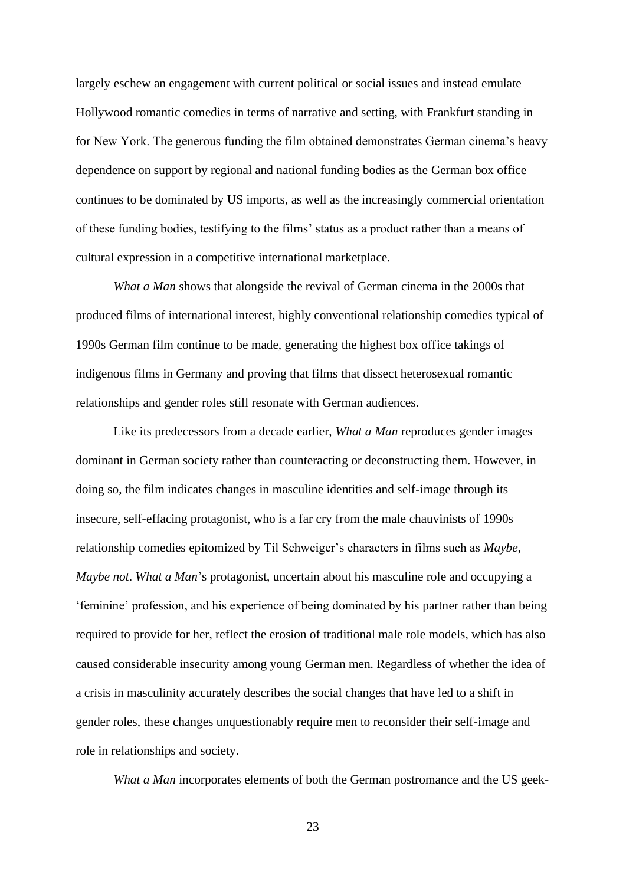largely eschew an engagement with current political or social issues and instead emulate Hollywood romantic comedies in terms of narrative and setting, with Frankfurt standing in for New York. The generous funding the film obtained demonstrates German cinema's heavy dependence on support by regional and national funding bodies as the German box office continues to be dominated by US imports, as well as the increasingly commercial orientation of these funding bodies, testifying to the films' status as a product rather than a means of cultural expression in a competitive international marketplace.

*What a Man* shows that alongside the revival of German cinema in the 2000s that produced films of international interest, highly conventional relationship comedies typical of 1990s German film continue to be made, generating the highest box office takings of indigenous films in Germany and proving that films that dissect heterosexual romantic relationships and gender roles still resonate with German audiences.

Like its predecessors from a decade earlier, *What a Man* reproduces gender images dominant in German society rather than counteracting or deconstructing them. However, in doing so, the film indicates changes in masculine identities and self-image through its insecure, self-effacing protagonist, who is a far cry from the male chauvinists of 1990s relationship comedies epitomized by Til Schweiger's characters in films such as *Maybe, Maybe not*. *What a Man*'s protagonist, uncertain about his masculine role and occupying a 'feminine' profession, and his experience of being dominated by his partner rather than being required to provide for her, reflect the erosion of traditional male role models, which has also caused considerable insecurity among young German men. Regardless of whether the idea of a crisis in masculinity accurately describes the social changes that have led to a shift in gender roles, these changes unquestionably require men to reconsider their self-image and role in relationships and society.

*What a Man* incorporates elements of both the German postromance and the US geek-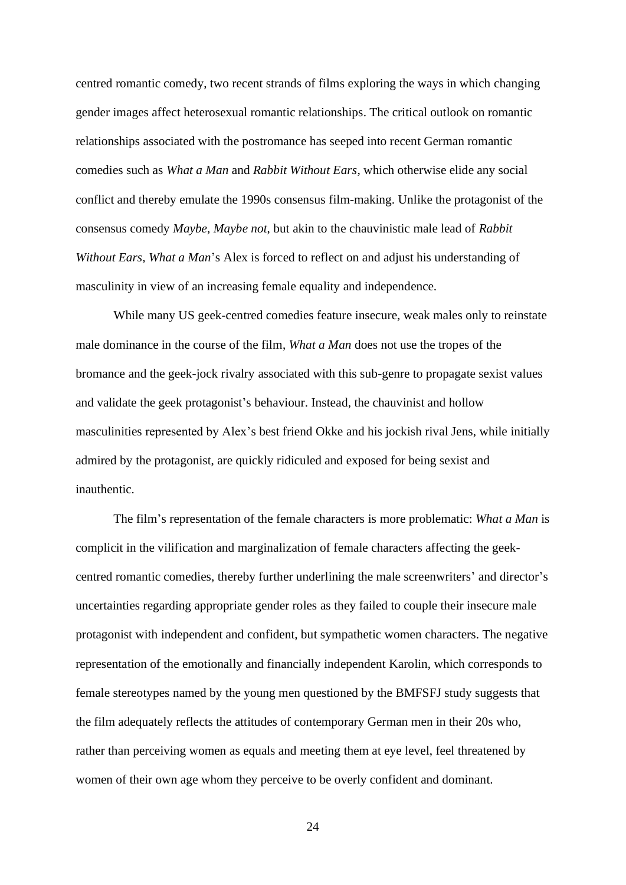centred romantic comedy, two recent strands of films exploring the ways in which changing gender images affect heterosexual romantic relationships. The critical outlook on romantic relationships associated with the postromance has seeped into recent German romantic comedies such as *What a Man* and *Rabbit Without Ears*, which otherwise elide any social conflict and thereby emulate the 1990s consensus film-making. Unlike the protagonist of the consensus comedy *Maybe, Maybe not*, but akin to the chauvinistic male lead of *Rabbit Without Ears, What a Man*'s Alex is forced to reflect on and adjust his understanding of masculinity in view of an increasing female equality and independence.

While many US geek-centred comedies feature insecure, weak males only to reinstate male dominance in the course of the film, *What a Man* does not use the tropes of the bromance and the geek-jock rivalry associated with this sub-genre to propagate sexist values and validate the geek protagonist's behaviour. Instead, the chauvinist and hollow masculinities represented by Alex's best friend Okke and his jockish rival Jens, while initially admired by the protagonist, are quickly ridiculed and exposed for being sexist and inauthentic.

The film's representation of the female characters is more problematic: *What a Man* is complicit in the vilification and marginalization of female characters affecting the geekcentred romantic comedies, thereby further underlining the male screenwriters' and director's uncertainties regarding appropriate gender roles as they failed to couple their insecure male protagonist with independent and confident, but sympathetic women characters. The negative representation of the emotionally and financially independent Karolin, which corresponds to female stereotypes named by the young men questioned by the BMFSFJ study suggests that the film adequately reflects the attitudes of contemporary German men in their 20s who, rather than perceiving women as equals and meeting them at eye level, feel threatened by women of their own age whom they perceive to be overly confident and dominant.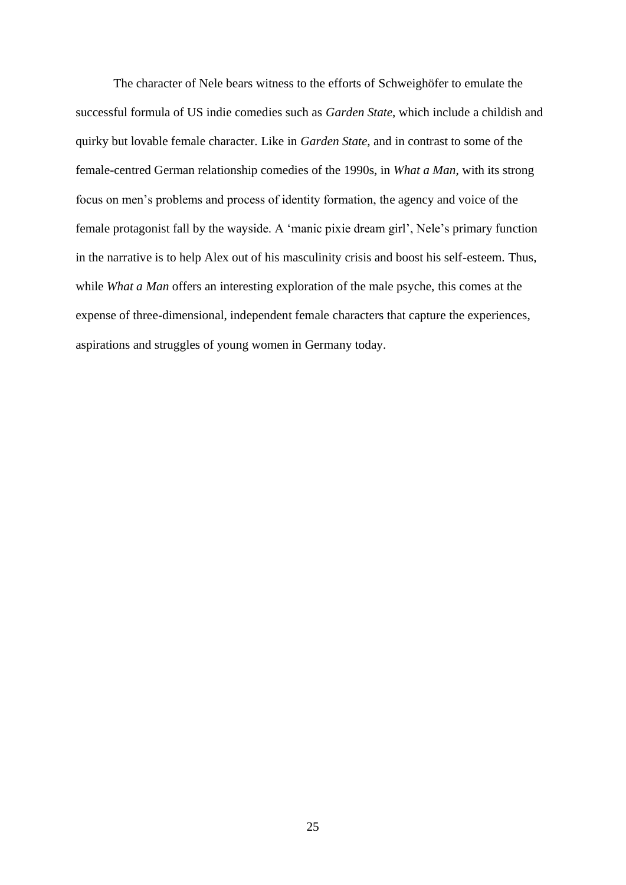The character of Nele bears witness to the efforts of Schweighöfer to emulate the successful formula of US indie comedies such as *Garden State*, which include a childish and quirky but lovable female character. Like in *Garden State*, and in contrast to some of the female-centred German relationship comedies of the 1990s, in *What a Man*, with its strong focus on men's problems and process of identity formation, the agency and voice of the female protagonist fall by the wayside. A 'manic pixie dream girl', Nele's primary function in the narrative is to help Alex out of his masculinity crisis and boost his self-esteem. Thus, while *What a Man* offers an interesting exploration of the male psyche, this comes at the expense of three-dimensional, independent female characters that capture the experiences, aspirations and struggles of young women in Germany today.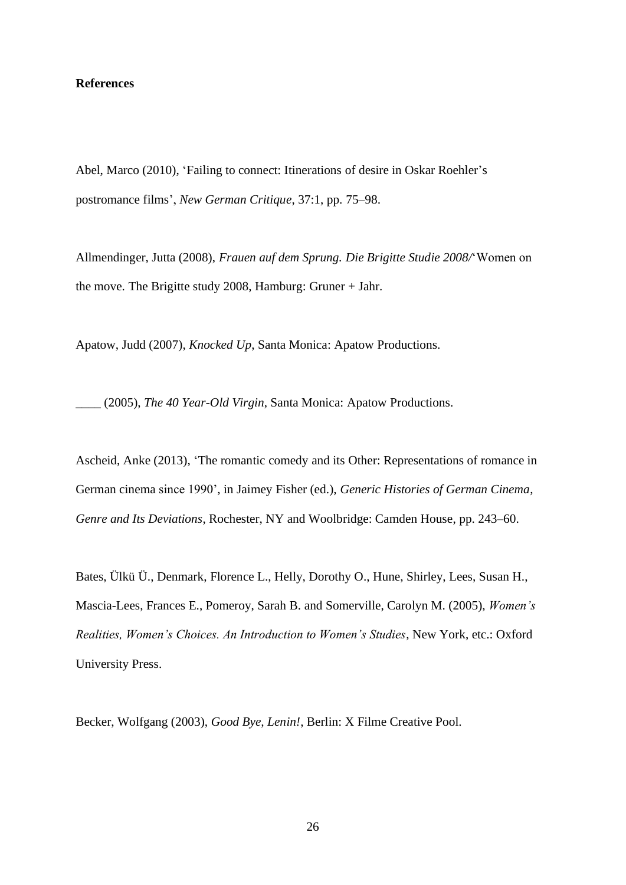### **References**

Abel, Marco (2010), 'Failing to connect: Itinerations of desire in Oskar Roehler's postromance films', *New German Critique*, 37:1, pp. 75–98.

Allmendinger, Jutta (2008), *Frauen auf dem Sprung. Die Brigitte Studie 2008/*'Women on the move. The Brigitte study 2008, Hamburg: Gruner + Jahr.

Apatow, Judd (2007), *Knocked Up*, Santa Monica: Apatow Productions.

\_\_\_\_ (2005), *The 40 Year-Old Virgin*, Santa Monica: Apatow Productions.

Ascheid, Anke (2013), 'The romantic comedy and its Other: Representations of romance in German cinema since 1990', in Jaimey Fisher (ed.), *Generic Histories of German Cinema*, *Genre and Its Deviations*, Rochester, NY and Woolbridge: Camden House, pp. 243–60.

Bates, Ülkü Ü., Denmark, Florence L., Helly, Dorothy O., Hune, Shirley, Lees, Susan H., Mascia-Lees, Frances E., Pomeroy, Sarah B. and Somerville, Carolyn M. (2005), *Women's Realities, Women's Choices. An Introduction to Women's Studies*, New York, etc.: Oxford University Press.

Becker, Wolfgang (2003), *Good Bye, Lenin!*, Berlin: X Filme Creative Pool.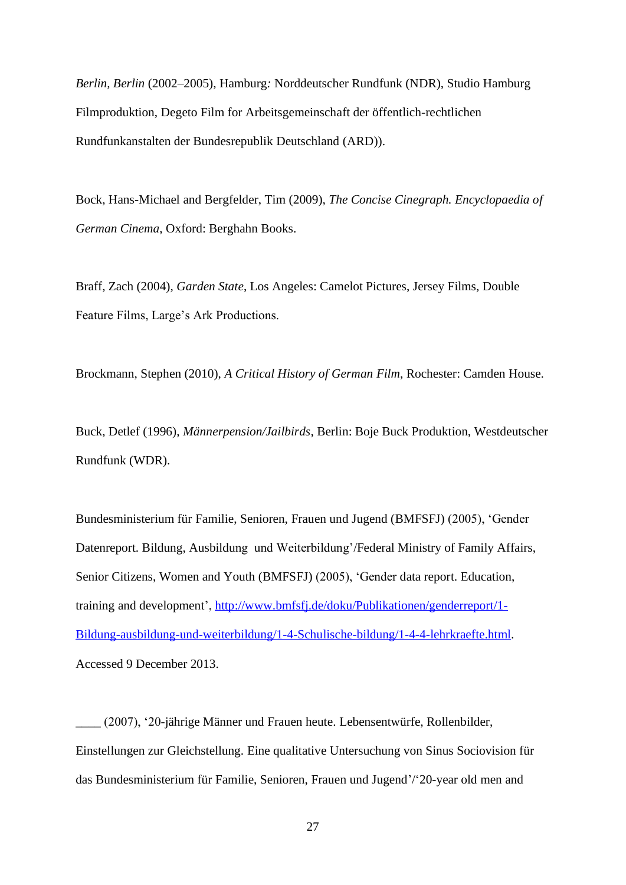*Berlin, Berlin* (2002–2005), Hamburg*:* Norddeutscher Rundfunk (NDR), Studio Hamburg Filmproduktion, Degeto Film for Arbeitsgemeinschaft der öffentlich-rechtlichen Rundfunkanstalten der Bundesrepublik Deutschland (ARD)).

Bock, Hans-Michael and Bergfelder, Tim (2009), *The Concise Cinegraph. Encyclopaedia of German Cinema*, Oxford: Berghahn Books.

Braff, Zach (2004), *Garden State*, Los Angeles: Camelot Pictures, Jersey Films, Double Feature Films, Large's Ark Productions.

Brockmann, Stephen (2010), *A Critical History of German Film*, Rochester: Camden House.

Buck, Detlef (1996), *Männerpension/Jailbirds*, Berlin: Boje Buck Produktion, Westdeutscher Rundfunk (WDR).

Bundesministerium für Familie, Senioren, Frauen und Jugend (BMFSFJ) (2005), 'Gender Datenreport. Bildung, Ausbildung und Weiterbildung'/Federal Ministry of Family Affairs, Senior Citizens, Women and Youth (BMFSFJ) (2005), 'Gender data report. Education, training and development', [http://www.bmfsfj.de/doku/Publikationen/genderreport/1-](http://www.bmfsfj.de/doku/Publikationen/genderreport/1-Bildung-ausbildung-und-weiterbildung/1-4-Schulische-bildung/1-4-4-lehrkraefte.html) [Bildung-ausbildung-und-weiterbildung/1-4-Schulische-bildung/1-4-4-lehrkraefte.html.](http://www.bmfsfj.de/doku/Publikationen/genderreport/1-Bildung-ausbildung-und-weiterbildung/1-4-Schulische-bildung/1-4-4-lehrkraefte.html) Accessed 9 December 2013.

\_\_\_\_ (2007), '20-jährige Männer und Frauen heute. Lebensentwürfe, Rollenbilder, Einstellungen zur Gleichstellung. Eine qualitative Untersuchung von Sinus Sociovision für das Bundesministerium für Familie, Senioren, Frauen und Jugend'/'20-year old men and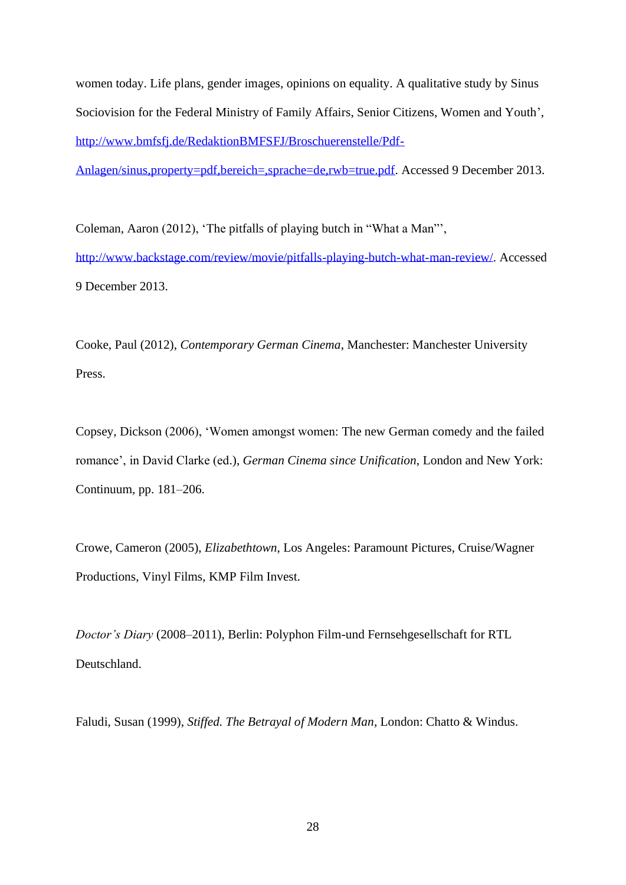women today. Life plans, gender images, opinions on equality. A qualitative study by Sinus Sociovision for the Federal Ministry of Family Affairs, Senior Citizens, Women and Youth', [http://www.bmfsfj.de/RedaktionBMFSFJ/Broschuerenstelle/Pdf-](http://www.bmfsfj.de/RedaktionBMFSFJ/Broschuerenstelle/Pdf-Anlagen/sinus,property=pdf,bereich=,sprache=de,rwb=true.pdf)

[Anlagen/sinus,property=pdf,bereich=,sprache=de,rwb=true.pdf.](http://www.bmfsfj.de/RedaktionBMFSFJ/Broschuerenstelle/Pdf-Anlagen/sinus,property=pdf,bereich=,sprache=de,rwb=true.pdf) Accessed 9 December 2013.

Coleman, Aaron (2012), 'The pitfalls of playing butch in "What a Man"', [http://www.backstage.com/review/movie/pitfalls-playing-butch-what-man-review/.](http://www.backstage.com/review/movie/pitfalls-playing-butch-what-man-review/) Accessed 9 December 2013.

Cooke, Paul (2012), *Contemporary German Cinema*, Manchester: Manchester University Press.

Copsey, Dickson (2006), 'Women amongst women: The new German comedy and the failed romance', in David Clarke (ed.), *German Cinema since Unification*, London and New York: Continuum, pp. 181–206.

Crowe, Cameron (2005), *Elizabethtown*, Los Angeles: Paramount Pictures, Cruise/Wagner Productions, Vinyl Films, KMP Film Invest.

*Doctor's Diary* (2008–2011), Berlin: Polyphon Film-und Fernsehgesellschaft for RTL Deutschland.

Faludi, Susan (1999), *Stiffed. The Betrayal of Modern Man*, London: Chatto & Windus.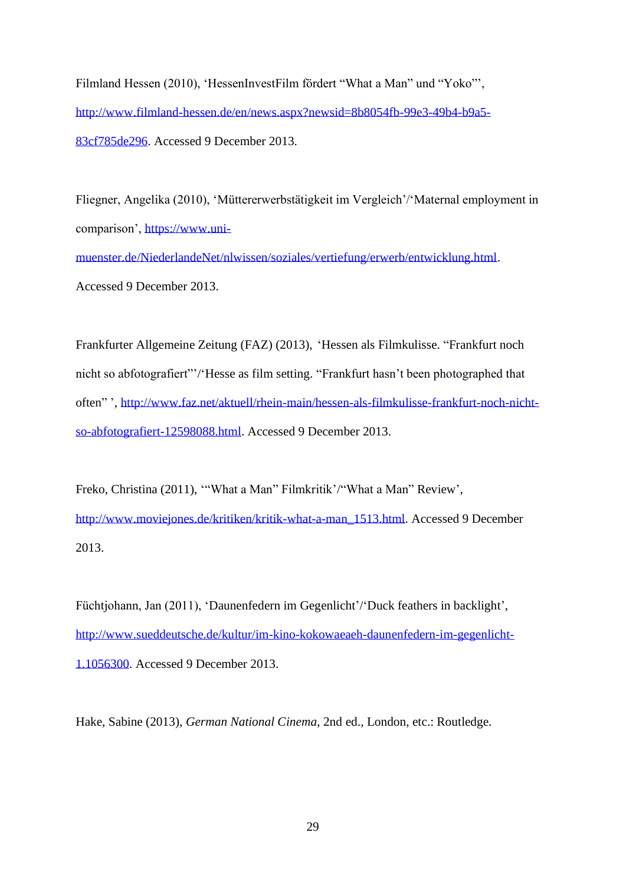Filmland Hessen (2010), 'HessenInvestFilm fördert "What a Man" und "Yoko"', [http://www.filmland-hessen.de/en/news.aspx?newsid=8b8054fb-99e3-49b4-b9a5-](http://www.filmland-hessen.de/en/news.aspx?newsid=8b8054fb-99e3-49b4-b9a5-83cf785de296) [83cf785de296.](http://www.filmland-hessen.de/en/news.aspx?newsid=8b8054fb-99e3-49b4-b9a5-83cf785de296) Accessed 9 December 2013.

Fliegner, Angelika (2010), 'Müttererwerbstätigkeit im Vergleich'/'Maternal employment in comparison', [https://www.uni](https://www.uni-muenster.de/NiederlandeNet/nlwissen/soziales/vertiefung/erwerb/entwicklung.html)[muenster.de/NiederlandeNet/nlwissen/soziales/vertiefung/erwerb/entwicklung.html.](https://www.uni-muenster.de/NiederlandeNet/nlwissen/soziales/vertiefung/erwerb/entwicklung.html) Accessed 9 December 2013.

Frankfurter Allgemeine Zeitung (FAZ) (2013), 'Hessen als Filmkulisse. "Frankfurt noch nicht so abfotografiert"'/'Hesse as film setting. "Frankfurt hasn't been photographed that often" ', [http://www.faz.net/aktuell/rhein-main/hessen-als-filmkulisse-frankfurt-noch-nicht](http://www.faz.net/aktuell/rhein-main/hessen-als-filmkulisse-frankfurt-noch-nicht-so-abfotografiert-12598088.html)[so-abfotografiert-12598088.html.](http://www.faz.net/aktuell/rhein-main/hessen-als-filmkulisse-frankfurt-noch-nicht-so-abfotografiert-12598088.html) Accessed 9 December 2013.

Freko, Christina (2011), '"What a Man" Filmkritik'/"What a Man" Review', [http://www.moviejones.de/kritiken/kritik-what-a-man\\_1513.html.](http://www.moviejones.de/kritiken/kritik-what-a-man_1513.html) Accessed 9 December 2013.

Füchtjohann, Jan (2011), 'Daunenfedern im Gegenlicht'/'Duck feathers in backlight', [http://www.sueddeutsche.de/kultur/im-kino-kokowaeaeh-daunenfedern-im-gegenlicht-](http://www.sueddeutsche.de/kultur/im-kino-kokowaeaeh-daunenfedern-im-gegenlicht-1.1056300)[1.1056300.](http://www.sueddeutsche.de/kultur/im-kino-kokowaeaeh-daunenfedern-im-gegenlicht-1.1056300) Accessed 9 December 2013.

Hake, Sabine (2013), *German National Cinema*, 2nd ed., London, etc.: Routledge.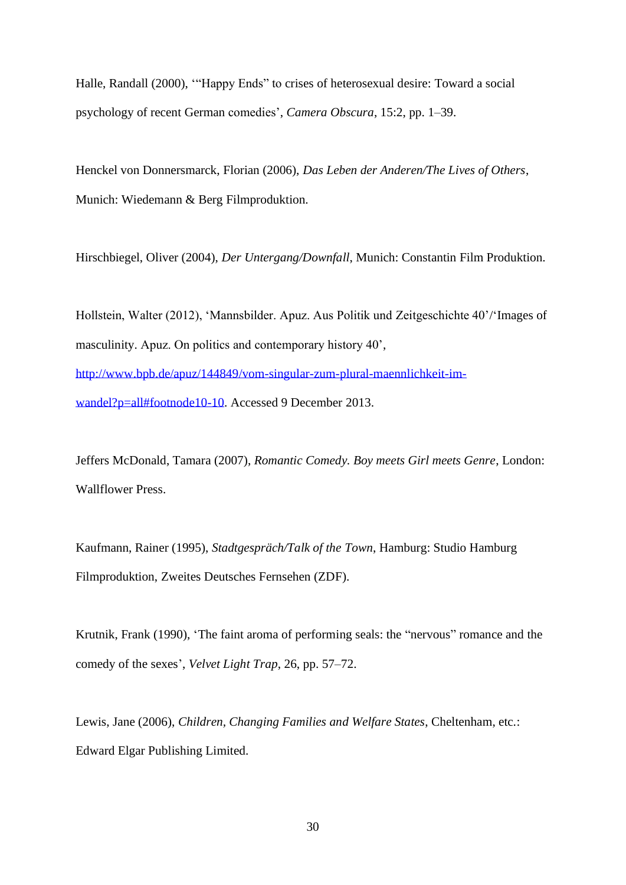Halle, Randall (2000), '"Happy Ends" to crises of heterosexual desire: Toward a social psychology of recent German comedies', *Camera Obscura*, 15:2, pp. 1–39.

Henckel von Donnersmarck, Florian (2006), *Das Leben der Anderen/The Lives of Others*, Munich: Wiedemann & Berg Filmproduktion.

Hirschbiegel, Oliver (2004), *Der Untergang/Downfall*, Munich: Constantin Film Produktion.

Hollstein, Walter (2012), 'Mannsbilder. Apuz. Aus Politik und Zeitgeschichte 40'/'Images of masculinity. Apuz. On politics and contemporary history 40', [http://www.bpb.de/apuz/144849/vom-singular-zum-plural-maennlichkeit-im](http://www.bpb.de/apuz/144849/vom-singular-zum-plural-maennlichkeit-im-wandel?p=all%23footnode10-10)[wandel?p=all#footnode10-10.](http://www.bpb.de/apuz/144849/vom-singular-zum-plural-maennlichkeit-im-wandel?p=all%23footnode10-10) Accessed 9 December 2013.

Jeffers McDonald, Tamara (2007), *Romantic Comedy. Boy meets Girl meets Genre*, London: Wallflower Press.

Kaufmann, Rainer (1995), *Stadtgespräch/Talk of the Town*, Hamburg: Studio Hamburg Filmproduktion, Zweites Deutsches Fernsehen (ZDF).

Krutnik, Frank (1990), 'The faint aroma of performing seals: the "nervous" romance and the comedy of the sexes', *Velvet Light Trap*, 26, pp. 57–72.

Lewis, Jane (2006), *Children, Changing Families and Welfare States*, Cheltenham, etc.: Edward Elgar Publishing Limited.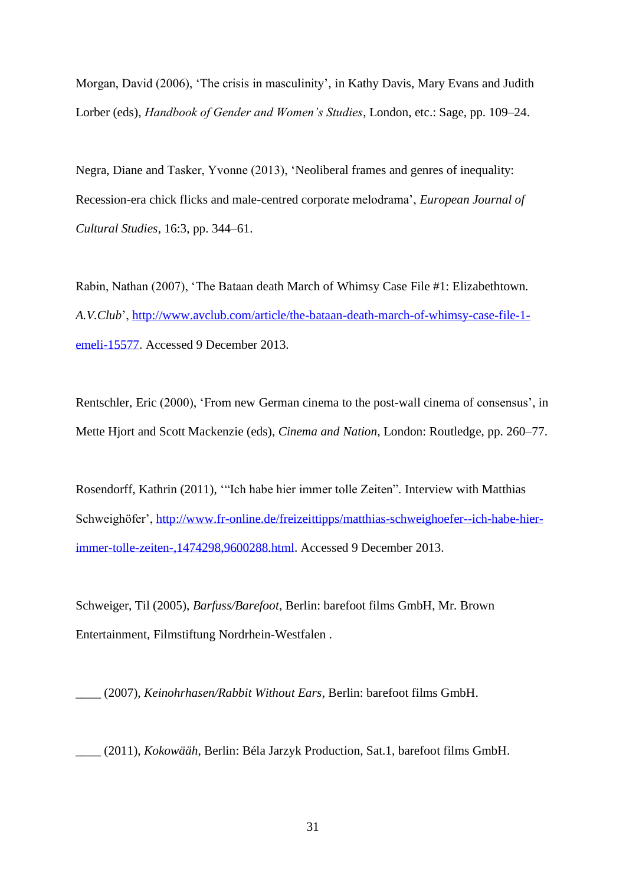Morgan, David (2006), 'The crisis in masculinity', in Kathy Davis, Mary Evans and Judith Lorber (eds), *Handbook of Gender and Women's Studies*, London, etc.: Sage, pp. 109–24.

Negra, Diane and Tasker, Yvonne (2013), 'Neoliberal frames and genres of inequality: Recession-era chick flicks and male-centred corporate melodrama', *European Journal of Cultural Studies*, 16:3, pp. 344–61.

Rabin, Nathan (2007), 'The Bataan death March of Whimsy Case File #1: Elizabethtown*. A.V.Club*', [http://www.avclub.com/article/the-bataan-death-march-of-whimsy-case-file-1](http://www.avclub.com/article/the-bataan-death-march-of-whimsy-case-file-1-emeli-15577) [emeli-15577.](http://www.avclub.com/article/the-bataan-death-march-of-whimsy-case-file-1-emeli-15577) Accessed 9 December 2013.

Rentschler, Eric (2000), 'From new German cinema to the post-wall cinema of consensus', in Mette Hjort and Scott Mackenzie (eds), *Cinema and Nation*, London: Routledge, pp. 260–77.

Rosendorff, Kathrin (2011), '"Ich habe hier immer tolle Zeiten". Interview with Matthias Schweighöfer', [http://www.fr-online.de/freizeittipps/matthias-schweighoefer--ich-habe-hier](http://www.fr-online.de/freizeittipps/matthias-schweighoefer--ich-habe-hier-immer-tolle-zeiten-,1474298,9600288.html)[immer-tolle-zeiten-,1474298,9600288.html.](http://www.fr-online.de/freizeittipps/matthias-schweighoefer--ich-habe-hier-immer-tolle-zeiten-,1474298,9600288.html) Accessed 9 December 2013.

Schweiger, Til (2005), *Barfuss/Barefoot*, Berlin: barefoot films GmbH, Mr. Brown Entertainment, Filmstiftung Nordrhein-Westfalen .

\_\_\_\_ (2007), *Keinohrhasen/Rabbit Without Ears*, Berlin: barefoot films GmbH.

\_\_\_\_ (2011), *Kokowääh*, Berlin: Béla Jarzyk Production, Sat.1, barefoot films GmbH.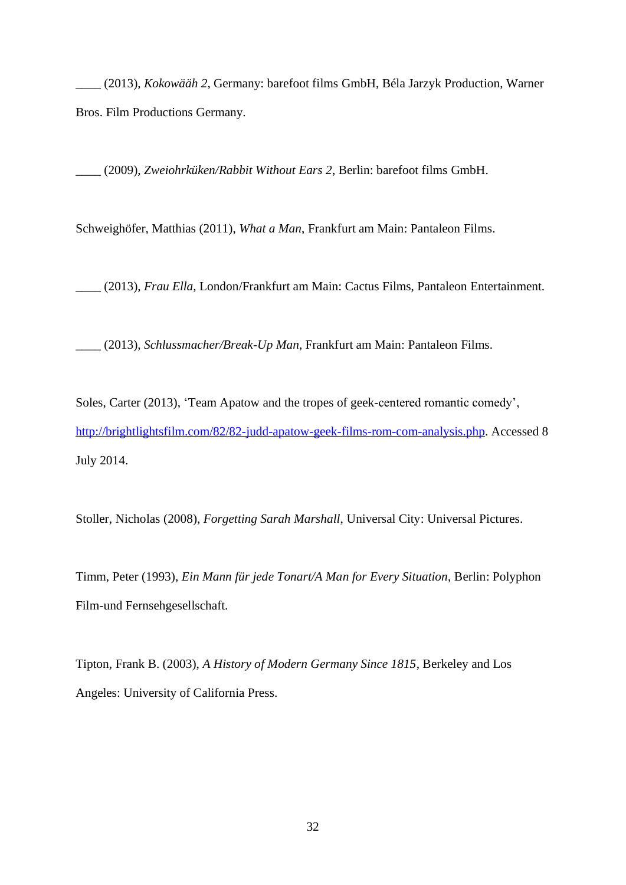\_\_\_\_ (2013), *Kokowääh 2*, Germany: barefoot films GmbH, Béla Jarzyk Production, Warner Bros. Film Productions Germany.

\_\_\_\_ (2009), *Zweiohrküken/Rabbit Without Ears 2*, Berlin: barefoot films GmbH.

Schweighöfer, Matthias (2011), *What a Man*, Frankfurt am Main: Pantaleon Films.

\_\_\_\_ (2013), *Frau Ella*, London/Frankfurt am Main: Cactus Films, Pantaleon Entertainment.

\_\_\_\_ (2013), *Schlussmacher/Break-Up Man*, Frankfurt am Main: Pantaleon Films.

Soles, Carter (2013), 'Team Apatow and the tropes of geek-centered romantic comedy', [http://brightlightsfilm.com/82/82-judd-apatow-geek-films-rom-com-analysis.php.](http://brightlightsfilm.com/82/82-judd-apatow-geek-films-rom-com-analysis.php) Accessed 8 July 2014.

Stoller, Nicholas (2008), *Forgetting Sarah Marshall*, Universal City: Universal Pictures.

Timm, Peter (1993), *Ein Mann für jede Tonart/A Man for Every Situation*, Berlin: Polyphon Film-und Fernsehgesellschaft.

Tipton, Frank B. (2003), *A History of Modern Germany Since 1815*, Berkeley and Los Angeles: University of California Press.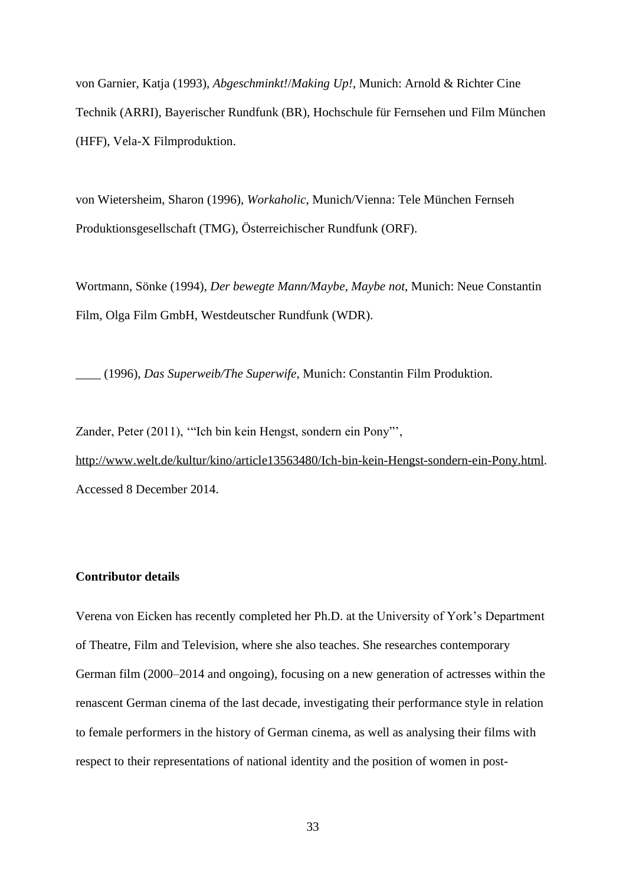von Garnier, Katja (1993), *Abgeschminkt!*/*Making Up!*, Munich: Arnold & Richter Cine Technik (ARRI), Bayerischer Rundfunk (BR), Hochschule für Fernsehen und Film München (HFF), Vela-X Filmproduktion.

von Wietersheim, Sharon (1996), *Workaholic*, Munich/Vienna: Tele München Fernseh Produktionsgesellschaft (TMG), Österreichischer Rundfunk (ORF).

Wortmann, Sönke (1994), *Der bewegte Mann/Maybe, Maybe not*, Munich: Neue Constantin Film, Olga Film GmbH, Westdeutscher Rundfunk (WDR).

\_\_\_\_ (1996), *Das Superweib/The Superwife*, Munich: Constantin Film Produktion.

Zander, Peter (2011), '"Ich bin kein Hengst, sondern ein Pony"',

[http://www.welt.de/kultur/kino/article13563480/Ich-bin-kein-Hengst-sondern-ein-Pony.html.](http://www.welt.de/kultur/kino/article13563480/Ich-bin-kein-Hengst-sondern-ein-Pony.html) Accessed 8 December 2014.

### **Contributor details**

Verena von Eicken has recently completed her Ph.D. at the University of York's Department of Theatre, Film and Television, where she also teaches. She researches contemporary German film (2000–2014 and ongoing), focusing on a new generation of actresses within the renascent German cinema of the last decade, investigating their performance style in relation to female performers in the history of German cinema, as well as analysing their films with respect to their representations of national identity and the position of women in post